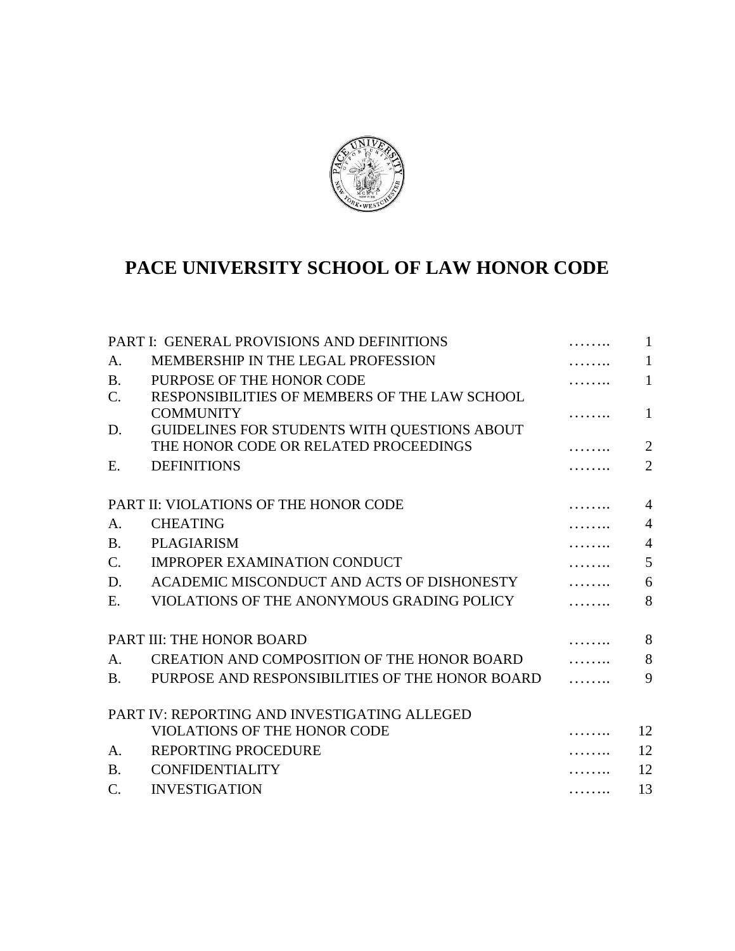

# **PACE UNIVERSITY SCHOOL OF LAW HONOR CODE**

|                 | PART I: GENERAL PROVISIONS AND DEFINITIONS      |   | $\mathbf{1}$   |
|-----------------|-------------------------------------------------|---|----------------|
| A.              | MEMBERSHIP IN THE LEGAL PROFESSION              |   | 1              |
| <b>B.</b>       | PURPOSE OF THE HONOR CODE                       |   | $\mathbf{1}$   |
| $\mathcal{C}$ . | RESPONSIBILITIES OF MEMBERS OF THE LAW SCHOOL   |   |                |
|                 | <b>COMMUNITY</b>                                |   | $\mathbf{1}$   |
| D.              | GUIDELINES FOR STUDENTS WITH QUESTIONS ABOUT    |   |                |
|                 | THE HONOR CODE OR RELATED PROCEEDINGS           |   | $\overline{2}$ |
| Ε.              | <b>DEFINITIONS</b>                              |   | $\overline{2}$ |
|                 | PART II: VIOLATIONS OF THE HONOR CODE           |   | $\overline{4}$ |
| A.              | <b>CHEATING</b>                                 |   | $\overline{4}$ |
| <b>B.</b>       | <b>PLAGIARISM</b>                               |   | $\overline{4}$ |
| $\mathcal{C}$ . | <b>IMPROPER EXAMINATION CONDUCT</b>             |   | 5              |
| D.              | ACADEMIC MISCONDUCT AND ACTS OF DISHONESTY      |   | 6              |
| E.              | VIOLATIONS OF THE ANONYMOUS GRADING POLICY      |   | 8              |
|                 | PART III: THE HONOR BOARD                       |   | 8              |
| A.              | CREATION AND COMPOSITION OF THE HONOR BOARD     |   | 8              |
| <b>B.</b>       | PURPOSE AND RESPONSIBILITIES OF THE HONOR BOARD |   | 9              |
|                 | PART IV: REPORTING AND INVESTIGATING ALLEGED    |   |                |
|                 | <b>VIOLATIONS OF THE HONOR CODE</b>             |   | 12             |
| A.              | <b>REPORTING PROCEDURE</b>                      |   | 12             |
| <b>B.</b>       | <b>CONFIDENTIALITY</b>                          |   | 12             |
| $C_{\cdot}$     | <b>INVESTIGATION</b>                            | . | 13             |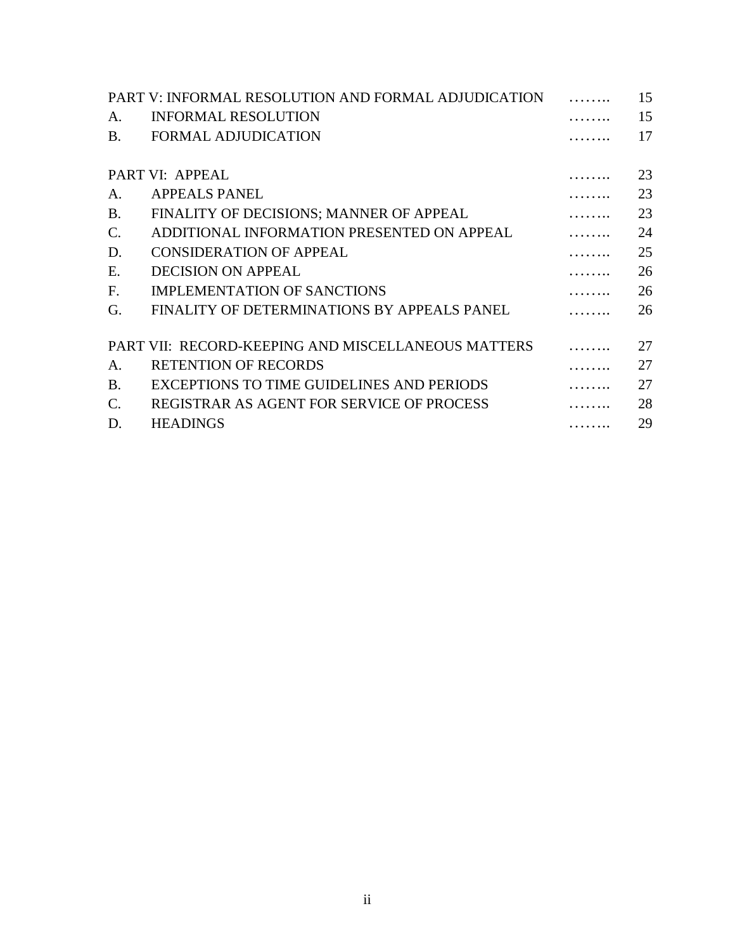| PART V: INFORMAL RESOLUTION AND FORMAL ADJUDICATION |                                                    |   | 15 |
|-----------------------------------------------------|----------------------------------------------------|---|----|
| A.                                                  | <b>INFORMAL RESOLUTION</b>                         |   | 15 |
| <b>B.</b>                                           | <b>FORMAL ADJUDICATION</b>                         |   | 17 |
|                                                     |                                                    |   |    |
| PART VI: APPEAL                                     |                                                    |   | 23 |
| A.                                                  | <b>APPEALS PANEL</b>                               |   | 23 |
| <b>B.</b>                                           | FINALITY OF DECISIONS; MANNER OF APPEAL            |   | 23 |
| C.                                                  | ADDITIONAL INFORMATION PRESENTED ON APPEAL         |   | 24 |
| D.                                                  | <b>CONSIDERATION OF APPEAL</b>                     |   | 25 |
| E.                                                  | <b>DECISION ON APPEAL</b>                          |   | 26 |
| F.                                                  | <b>IMPLEMENTATION OF SANCTIONS</b>                 |   | 26 |
| G.                                                  | FINALITY OF DETERMINATIONS BY APPEALS PANEL        |   | 26 |
|                                                     |                                                    |   |    |
|                                                     | PART VII: RECORD-KEEPING AND MISCELLANEOUS MATTERS |   | 27 |
| A.                                                  | <b>RETENTION OF RECORDS</b>                        |   | 27 |
| <b>B.</b>                                           | EXCEPTIONS TO TIME GUIDELINES AND PERIODS          |   | 27 |
| $\mathbf{C}$ .                                      | REGISTRAR AS AGENT FOR SERVICE OF PROCESS          |   | 28 |
| D.                                                  | <b>HEADINGS</b>                                    | . | 29 |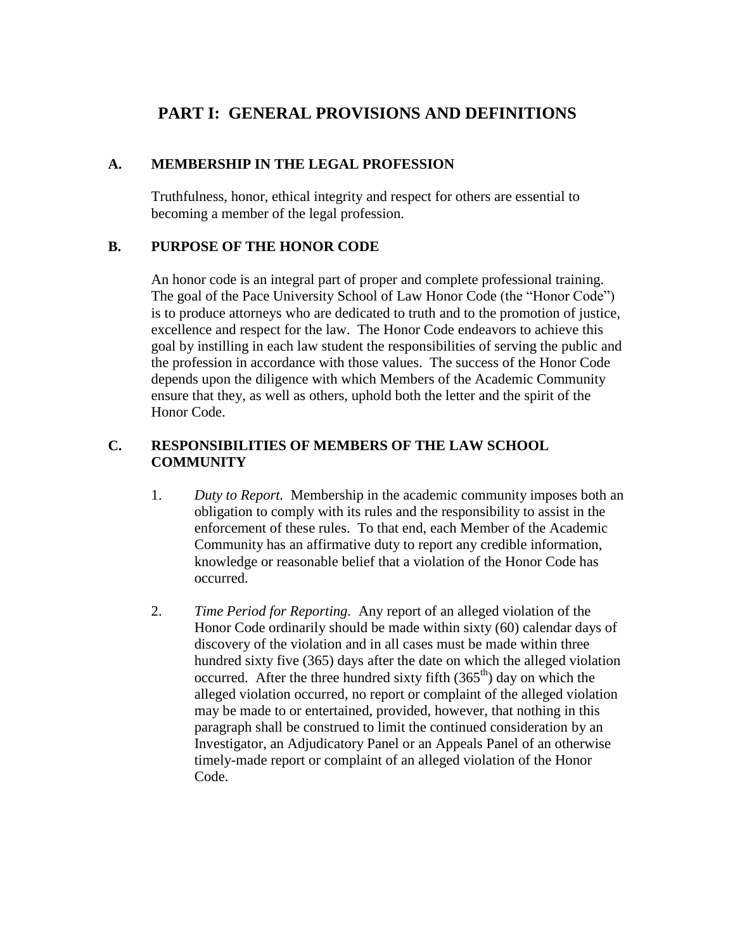# **PART I: GENERAL PROVISIONS AND DEFINITIONS**

#### **A. MEMBERSHIP IN THE LEGAL PROFESSION**

Truthfulness, honor, ethical integrity and respect for others are essential to becoming a member of the legal profession.

#### **B. PURPOSE OF THE HONOR CODE**

An honor code is an integral part of proper and complete professional training. The goal of the Pace University School of Law Honor Code (the "Honor Code") is to produce attorneys who are dedicated to truth and to the promotion of justice, excellence and respect for the law. The Honor Code endeavors to achieve this goal by instilling in each law student the responsibilities of serving the public and the profession in accordance with those values. The success of the Honor Code depends upon the diligence with which Members of the Academic Community ensure that they, as well as others, uphold both the letter and the spirit of the Honor Code.

### **C. RESPONSIBILITIES OF MEMBERS OF THE LAW SCHOOL COMMUNITY**

- 1. *Duty to Report.* Membership in the academic community imposes both an obligation to comply with its rules and the responsibility to assist in the enforcement of these rules. To that end, each Member of the Academic Community has an affirmative duty to report any credible information, knowledge or reasonable belief that a violation of the Honor Code has occurred.
- 2. *Time Period for Reporting.* Any report of an alleged violation of the Honor Code ordinarily should be made within sixty (60) calendar days of discovery of the violation and in all cases must be made within three hundred sixty five (365) days after the date on which the alleged violation occurred. After the three hundred sixty fifth  $(365<sup>th</sup>)$  day on which the alleged violation occurred, no report or complaint of the alleged violation may be made to or entertained, provided, however, that nothing in this paragraph shall be construed to limit the continued consideration by an Investigator, an Adjudicatory Panel or an Appeals Panel of an otherwise timely-made report or complaint of an alleged violation of the Honor Code.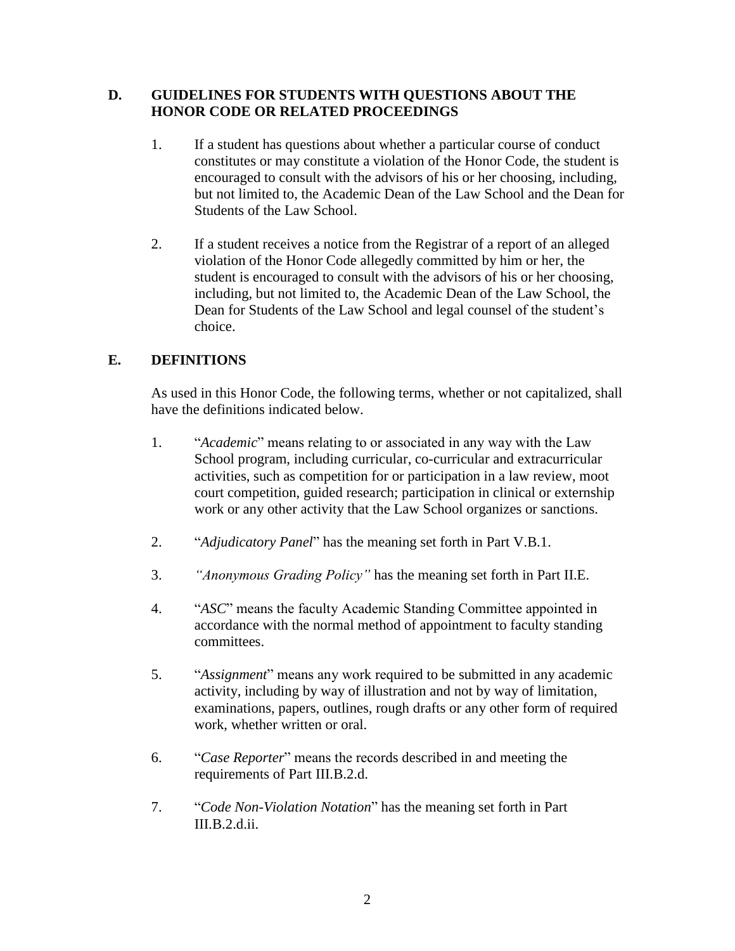#### **D. GUIDELINES FOR STUDENTS WITH QUESTIONS ABOUT THE HONOR CODE OR RELATED PROCEEDINGS**

- 1. If a student has questions about whether a particular course of conduct constitutes or may constitute a violation of the Honor Code, the student is encouraged to consult with the advisors of his or her choosing, including, but not limited to, the Academic Dean of the Law School and the Dean for Students of the Law School.
- 2. If a student receives a notice from the Registrar of a report of an alleged violation of the Honor Code allegedly committed by him or her, the student is encouraged to consult with the advisors of his or her choosing, including, but not limited to, the Academic Dean of the Law School, the Dean for Students of the Law School and legal counsel of the student's choice.

### **E. DEFINITIONS**

As used in this Honor Code, the following terms, whether or not capitalized, shall have the definitions indicated below.

- 1. "*Academic*" means relating to or associated in any way with the Law School program, including curricular, co-curricular and extracurricular activities, such as competition for or participation in a law review, moot court competition, guided research; participation in clinical or externship work or any other activity that the Law School organizes or sanctions.
- 2. "*Adjudicatory Panel*" has the meaning set forth in Part V.B.1.
- 3. *"Anonymous Grading Policy"* has the meaning set forth in Part II.E.
- 4. "*ASC*" means the faculty Academic Standing Committee appointed in accordance with the normal method of appointment to faculty standing committees.
- 5. "*Assignment*" means any work required to be submitted in any academic activity, including by way of illustration and not by way of limitation, examinations, papers, outlines, rough drafts or any other form of required work, whether written or oral.
- 6. "*Case Reporter*" means the records described in and meeting the requirements of Part III.B.2.d.
- 7. "*Code Non-Violation Notation*" has the meaning set forth in Part III.B.2.d.ii.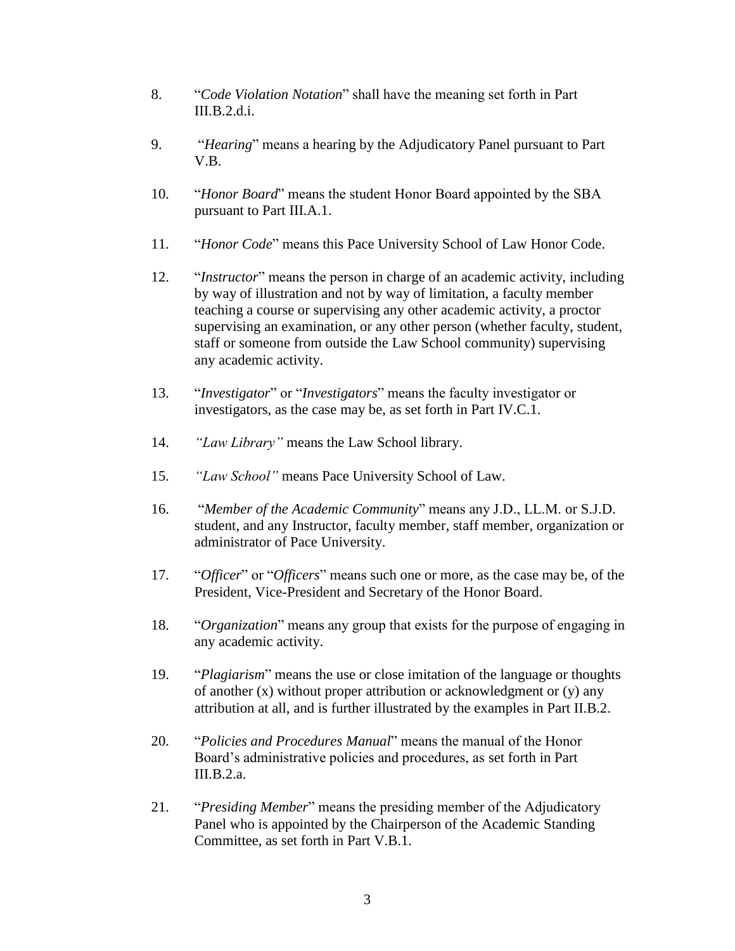- 8. "*Code Violation Notation*" shall have the meaning set forth in Part  $III.B.2.d.i.$
- 9. "*Hearing*" means a hearing by the Adjudicatory Panel pursuant to Part V.B.
- 10. "*Honor Board*" means the student Honor Board appointed by the SBA pursuant to Part III.A.1.
- 11. "*Honor Code*" means this Pace University School of Law Honor Code.
- 12. "*Instructor*" means the person in charge of an academic activity, including by way of illustration and not by way of limitation, a faculty member teaching a course or supervising any other academic activity, a proctor supervising an examination, or any other person (whether faculty, student, staff or someone from outside the Law School community) supervising any academic activity.
- 13. "*Investigator*" or "*Investigators*" means the faculty investigator or investigators, as the case may be, as set forth in Part IV.C.1.
- 14. *"Law Library"* means the Law School library.
- 15. *"Law School"* means Pace University School of Law.
- 16. "*Member of the Academic Community*" means any J.D., LL.M. or S.J.D. student, and any Instructor, faculty member, staff member, organization or administrator of Pace University.
- 17. "*Officer*" or "*Officers*" means such one or more, as the case may be, of the President, Vice-President and Secretary of the Honor Board.
- 18. "*Organization*" means any group that exists for the purpose of engaging in any academic activity.
- 19. "*Plagiarism*" means the use or close imitation of the language or thoughts of another (x) without proper attribution or acknowledgment or (y) any attribution at all, and is further illustrated by the examples in Part II.B.2.
- 20. "*Policies and Procedures Manual*" means the manual of the Honor Board's administrative policies and procedures, as set forth in Part III.B.2.a.
- 21. "*Presiding Member*" means the presiding member of the Adjudicatory Panel who is appointed by the Chairperson of the Academic Standing Committee, as set forth in Part V.B.1.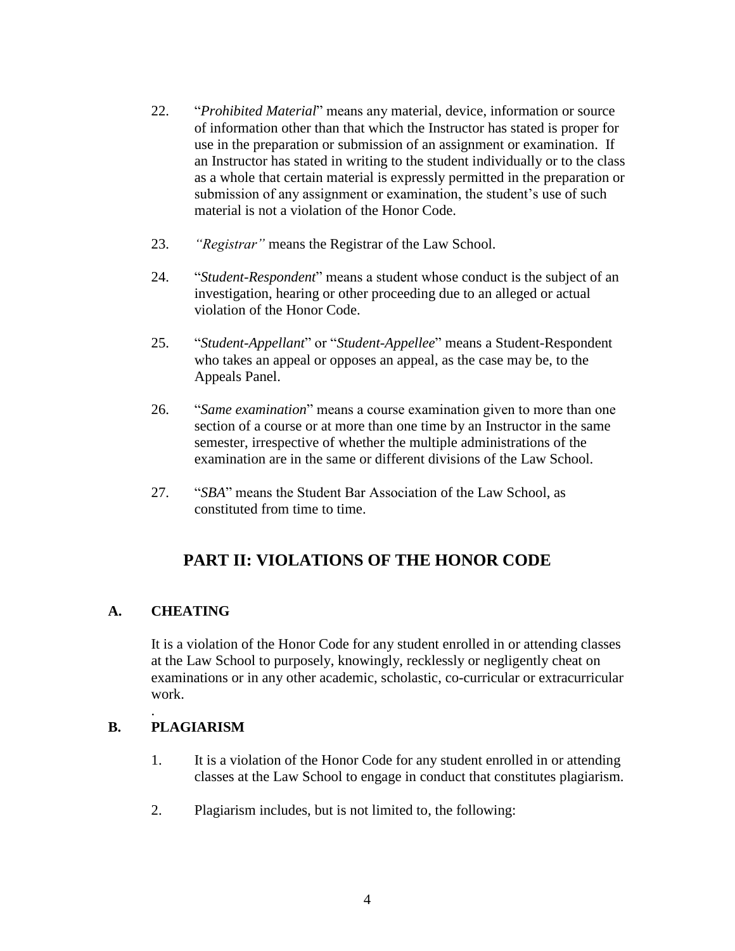- 22. "*Prohibited Material*" means any material, device, information or source of information other than that which the Instructor has stated is proper for use in the preparation or submission of an assignment or examination. If an Instructor has stated in writing to the student individually or to the class as a whole that certain material is expressly permitted in the preparation or submission of any assignment or examination, the student's use of such material is not a violation of the Honor Code.
- 23. *"Registrar"* means the Registrar of the Law School.
- 24. "*Student-Respondent*" means a student whose conduct is the subject of an investigation, hearing or other proceeding due to an alleged or actual violation of the Honor Code.
- 25. "*Student-Appellant*" or "*Student-Appellee*" means a Student-Respondent who takes an appeal or opposes an appeal, as the case may be, to the Appeals Panel.
- 26. "*Same examination*" means a course examination given to more than one section of a course or at more than one time by an Instructor in the same semester, irrespective of whether the multiple administrations of the examination are in the same or different divisions of the Law School.
- 27. "*SBA*" means the Student Bar Association of the Law School, as constituted from time to time.

# **PART II: VIOLATIONS OF THE HONOR CODE**

### **A. CHEATING**

It is a violation of the Honor Code for any student enrolled in or attending classes at the Law School to purposely, knowingly, recklessly or negligently cheat on examinations or in any other academic, scholastic, co-curricular or extracurricular work.

### **B. PLAGIARISM**

.

- 1. It is a violation of the Honor Code for any student enrolled in or attending classes at the Law School to engage in conduct that constitutes plagiarism.
- 2. Plagiarism includes, but is not limited to, the following: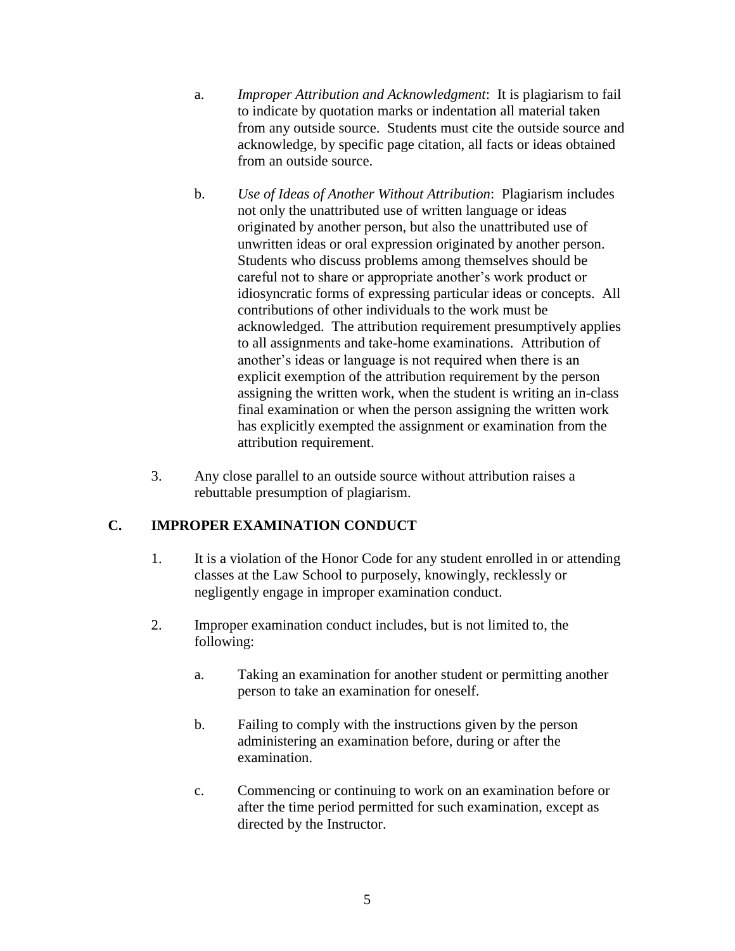- a. *Improper Attribution and Acknowledgment*: It is plagiarism to fail to indicate by quotation marks or indentation all material taken from any outside source. Students must cite the outside source and acknowledge, by specific page citation, all facts or ideas obtained from an outside source.
- b. *Use of Ideas of Another Without Attribution*: Plagiarism includes not only the unattributed use of written language or ideas originated by another person, but also the unattributed use of unwritten ideas or oral expression originated by another person. Students who discuss problems among themselves should be careful not to share or appropriate another's work product or idiosyncratic forms of expressing particular ideas or concepts. All contributions of other individuals to the work must be acknowledged. The attribution requirement presumptively applies to all assignments and take-home examinations. Attribution of another's ideas or language is not required when there is an explicit exemption of the attribution requirement by the person assigning the written work, when the student is writing an in-class final examination or when the person assigning the written work has explicitly exempted the assignment or examination from the attribution requirement.
- 3. Any close parallel to an outside source without attribution raises a rebuttable presumption of plagiarism.

# **C. IMPROPER EXAMINATION CONDUCT**

- 1. It is a violation of the Honor Code for any student enrolled in or attending classes at the Law School to purposely, knowingly, recklessly or negligently engage in improper examination conduct.
- 2. Improper examination conduct includes, but is not limited to, the following:
	- a. Taking an examination for another student or permitting another person to take an examination for oneself.
	- b. Failing to comply with the instructions given by the person administering an examination before, during or after the examination.
	- c. Commencing or continuing to work on an examination before or after the time period permitted for such examination, except as directed by the Instructor.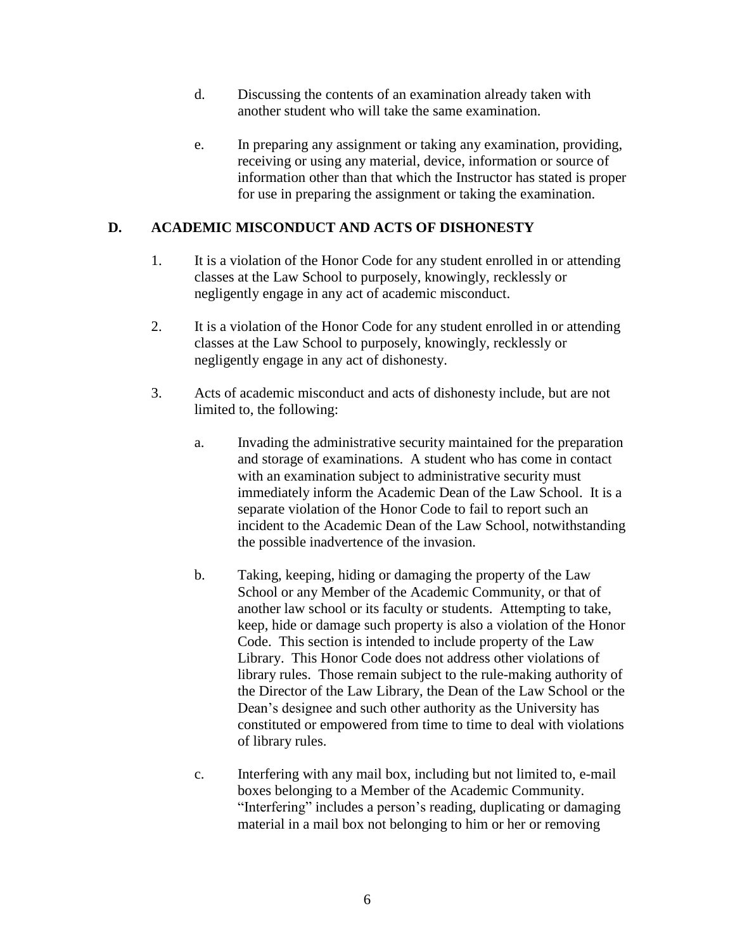- d. Discussing the contents of an examination already taken with another student who will take the same examination.
- e. In preparing any assignment or taking any examination, providing, receiving or using any material, device, information or source of information other than that which the Instructor has stated is proper for use in preparing the assignment or taking the examination.

# **D. ACADEMIC MISCONDUCT AND ACTS OF DISHONESTY**

- 1. It is a violation of the Honor Code for any student enrolled in or attending classes at the Law School to purposely, knowingly, recklessly or negligently engage in any act of academic misconduct.
- 2. It is a violation of the Honor Code for any student enrolled in or attending classes at the Law School to purposely, knowingly, recklessly or negligently engage in any act of dishonesty.
- 3. Acts of academic misconduct and acts of dishonesty include, but are not limited to, the following:
	- a. Invading the administrative security maintained for the preparation and storage of examinations. A student who has come in contact with an examination subject to administrative security must immediately inform the Academic Dean of the Law School. It is a separate violation of the Honor Code to fail to report such an incident to the Academic Dean of the Law School, notwithstanding the possible inadvertence of the invasion.
	- b. Taking, keeping, hiding or damaging the property of the Law School or any Member of the Academic Community, or that of another law school or its faculty or students. Attempting to take, keep, hide or damage such property is also a violation of the Honor Code. This section is intended to include property of the Law Library. This Honor Code does not address other violations of library rules. Those remain subject to the rule-making authority of the Director of the Law Library, the Dean of the Law School or the Dean's designee and such other authority as the University has constituted or empowered from time to time to deal with violations of library rules.
	- c. Interfering with any mail box, including but not limited to, e-mail boxes belonging to a Member of the Academic Community. "Interfering" includes a person's reading, duplicating or damaging material in a mail box not belonging to him or her or removing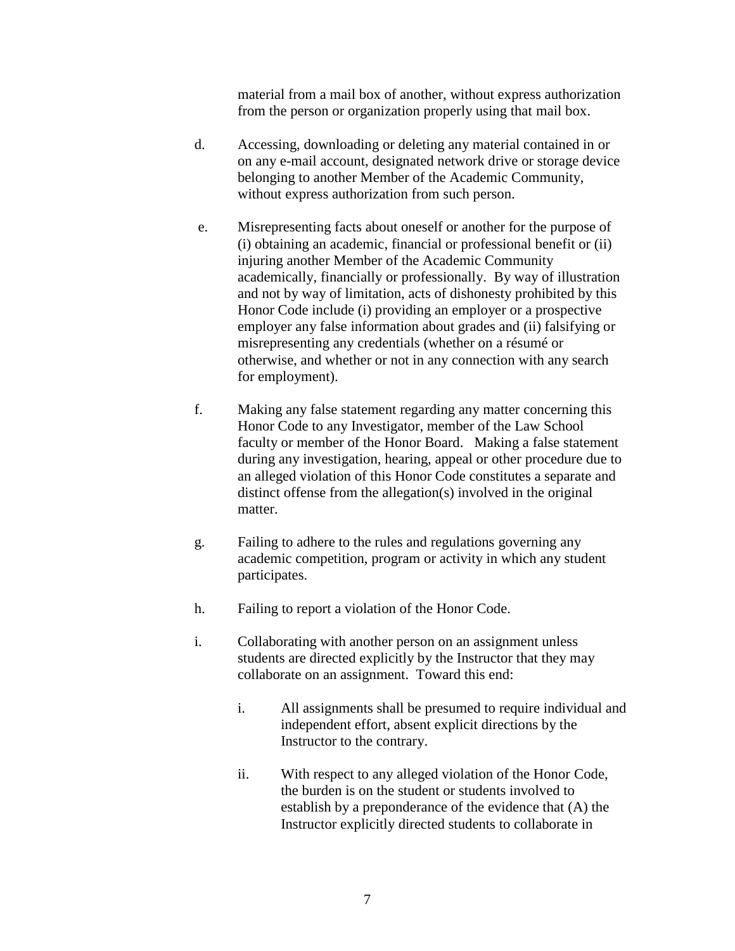material from a mail box of another, without express authorization from the person or organization properly using that mail box.

- d. Accessing, downloading or deleting any material contained in or on any e-mail account, designated network drive or storage device belonging to another Member of the Academic Community, without express authorization from such person.
- e. Misrepresenting facts about oneself or another for the purpose of (i) obtaining an academic, financial or professional benefit or (ii) injuring another Member of the Academic Community academically, financially or professionally. By way of illustration and not by way of limitation, acts of dishonesty prohibited by this Honor Code include (i) providing an employer or a prospective employer any false information about grades and (ii) falsifying or misrepresenting any credentials (whether on a résumé or otherwise, and whether or not in any connection with any search for employment).
- f. Making any false statement regarding any matter concerning this Honor Code to any Investigator, member of the Law School faculty or member of the Honor Board. Making a false statement during any investigation, hearing, appeal or other procedure due to an alleged violation of this Honor Code constitutes a separate and distinct offense from the allegation(s) involved in the original matter.
- g. Failing to adhere to the rules and regulations governing any academic competition, program or activity in which any student participates.
- h. Failing to report a violation of the Honor Code.
- i. Collaborating with another person on an assignment unless students are directed explicitly by the Instructor that they may collaborate on an assignment. Toward this end:
	- i. All assignments shall be presumed to require individual and independent effort, absent explicit directions by the Instructor to the contrary.
	- ii. With respect to any alleged violation of the Honor Code, the burden is on the student or students involved to establish by a preponderance of the evidence that (A) the Instructor explicitly directed students to collaborate in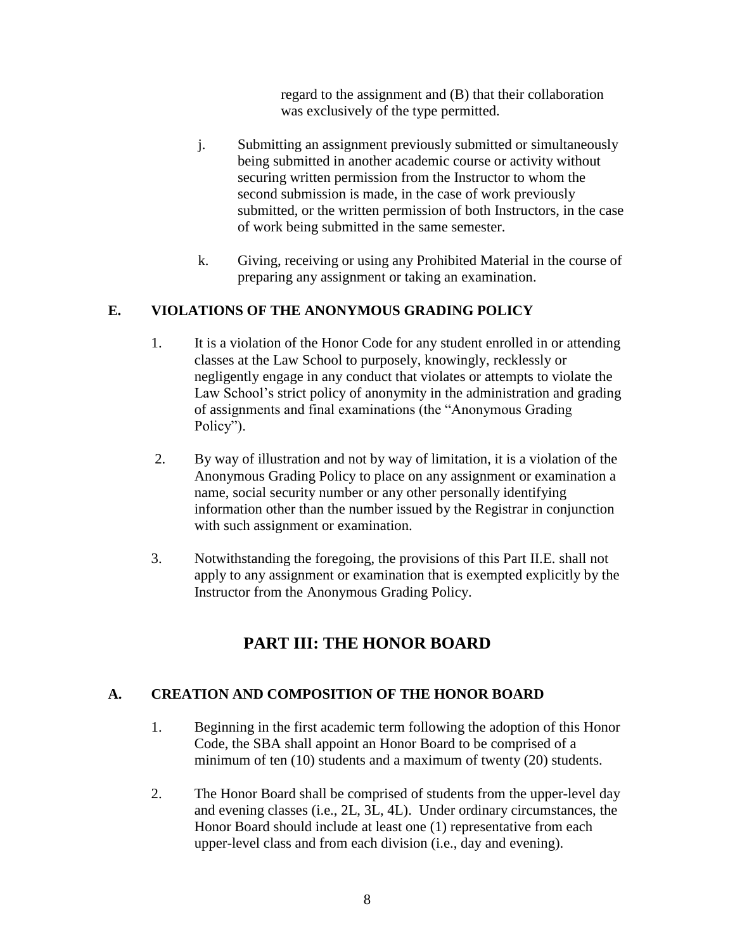regard to the assignment and (B) that their collaboration was exclusively of the type permitted.

- j. Submitting an assignment previously submitted or simultaneously being submitted in another academic course or activity without securing written permission from the Instructor to whom the second submission is made, in the case of work previously submitted, or the written permission of both Instructors, in the case of work being submitted in the same semester.
- k. Giving, receiving or using any Prohibited Material in the course of preparing any assignment or taking an examination.

### **E. VIOLATIONS OF THE ANONYMOUS GRADING POLICY**

- 1. It is a violation of the Honor Code for any student enrolled in or attending classes at the Law School to purposely, knowingly, recklessly or negligently engage in any conduct that violates or attempts to violate the Law School's strict policy of anonymity in the administration and grading of assignments and final examinations (the "Anonymous Grading Policy").
- 2. By way of illustration and not by way of limitation, it is a violation of the Anonymous Grading Policy to place on any assignment or examination a name, social security number or any other personally identifying information other than the number issued by the Registrar in conjunction with such assignment or examination.
- 3. Notwithstanding the foregoing, the provisions of this Part II.E. shall not apply to any assignment or examination that is exempted explicitly by the Instructor from the Anonymous Grading Policy.

# **PART III: THE HONOR BOARD**

### **A. CREATION AND COMPOSITION OF THE HONOR BOARD**

- 1. Beginning in the first academic term following the adoption of this Honor Code, the SBA shall appoint an Honor Board to be comprised of a minimum of ten (10) students and a maximum of twenty (20) students.
- 2. The Honor Board shall be comprised of students from the upper-level day and evening classes (i.e., 2L, 3L, 4L). Under ordinary circumstances, the Honor Board should include at least one (1) representative from each upper-level class and from each division (i.e., day and evening).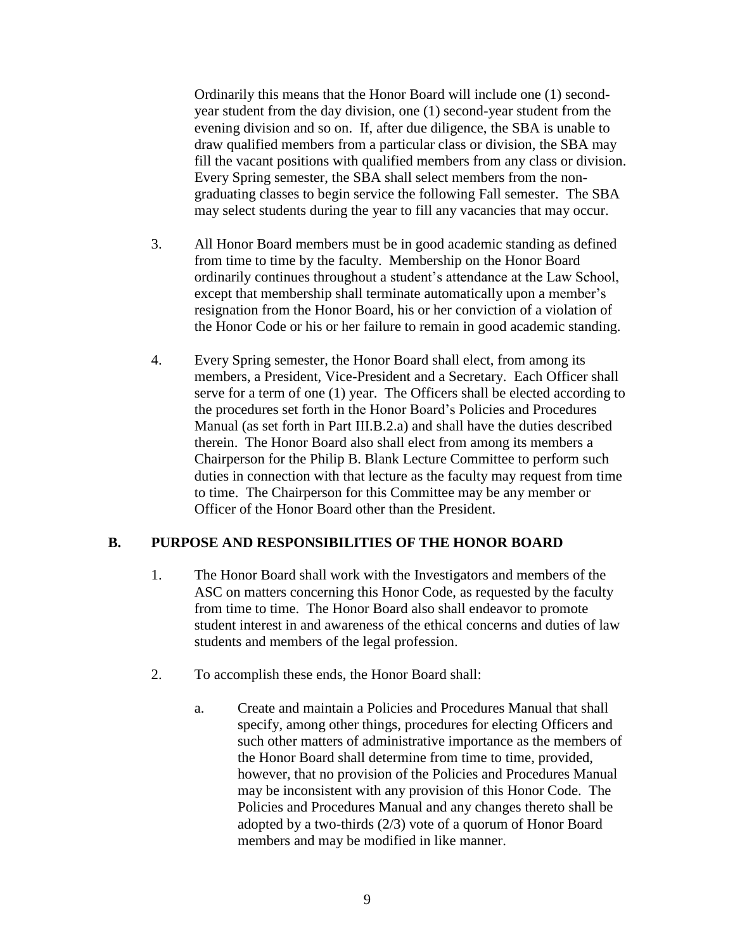Ordinarily this means that the Honor Board will include one (1) secondyear student from the day division, one (1) second-year student from the evening division and so on. If, after due diligence, the SBA is unable to draw qualified members from a particular class or division, the SBA may fill the vacant positions with qualified members from any class or division. Every Spring semester, the SBA shall select members from the nongraduating classes to begin service the following Fall semester. The SBA may select students during the year to fill any vacancies that may occur.

- 3. All Honor Board members must be in good academic standing as defined from time to time by the faculty. Membership on the Honor Board ordinarily continues throughout a student's attendance at the Law School, except that membership shall terminate automatically upon a member's resignation from the Honor Board, his or her conviction of a violation of the Honor Code or his or her failure to remain in good academic standing.
- 4. Every Spring semester, the Honor Board shall elect, from among its members, a President, Vice-President and a Secretary. Each Officer shall serve for a term of one (1) year. The Officers shall be elected according to the procedures set forth in the Honor Board's Policies and Procedures Manual (as set forth in Part III.B.2.a) and shall have the duties described therein. The Honor Board also shall elect from among its members a Chairperson for the Philip B. Blank Lecture Committee to perform such duties in connection with that lecture as the faculty may request from time to time. The Chairperson for this Committee may be any member or Officer of the Honor Board other than the President.

#### **B. PURPOSE AND RESPONSIBILITIES OF THE HONOR BOARD**

- 1. The Honor Board shall work with the Investigators and members of the ASC on matters concerning this Honor Code, as requested by the faculty from time to time. The Honor Board also shall endeavor to promote student interest in and awareness of the ethical concerns and duties of law students and members of the legal profession.
- 2. To accomplish these ends, the Honor Board shall:
	- a. Create and maintain a Policies and Procedures Manual that shall specify, among other things, procedures for electing Officers and such other matters of administrative importance as the members of the Honor Board shall determine from time to time, provided, however, that no provision of the Policies and Procedures Manual may be inconsistent with any provision of this Honor Code. The Policies and Procedures Manual and any changes thereto shall be adopted by a two-thirds (2/3) vote of a quorum of Honor Board members and may be modified in like manner.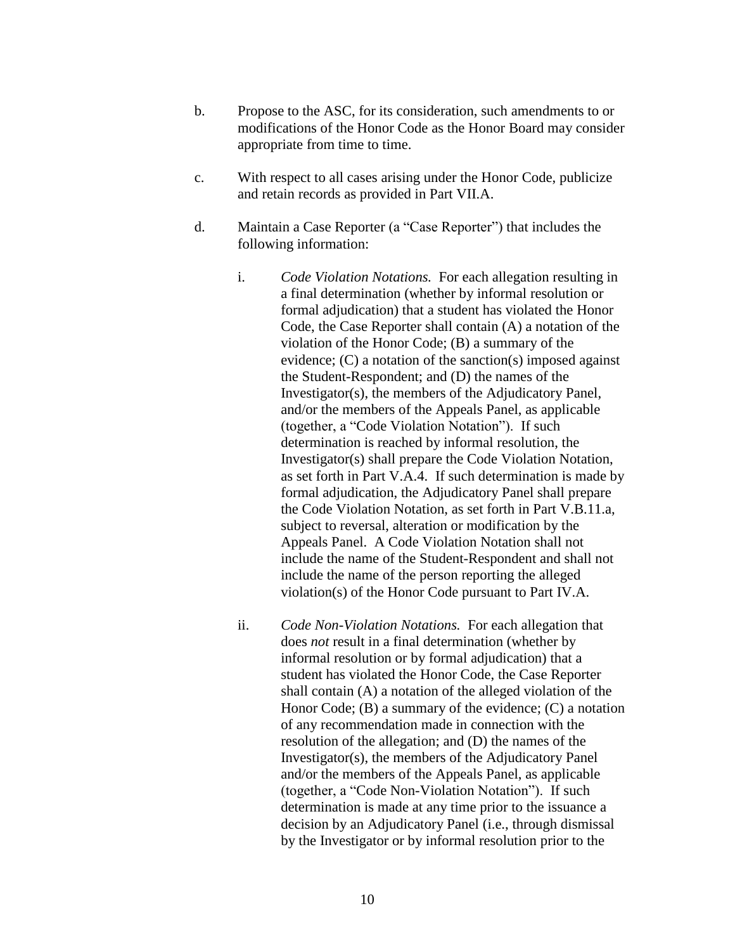- b. Propose to the ASC, for its consideration, such amendments to or modifications of the Honor Code as the Honor Board may consider appropriate from time to time.
- c. With respect to all cases arising under the Honor Code, publicize and retain records as provided in Part VII.A.
- d. Maintain a Case Reporter (a "Case Reporter") that includes the following information:
	- i. *Code Violation Notations.* For each allegation resulting in a final determination (whether by informal resolution or formal adjudication) that a student has violated the Honor Code, the Case Reporter shall contain (A) a notation of the violation of the Honor Code; (B) a summary of the evidence; (C) a notation of the sanction(s) imposed against the Student-Respondent; and (D) the names of the Investigator(s), the members of the Adjudicatory Panel, and/or the members of the Appeals Panel, as applicable (together, a "Code Violation Notation"). If such determination is reached by informal resolution, the Investigator(s) shall prepare the Code Violation Notation, as set forth in Part V.A.4. If such determination is made by formal adjudication, the Adjudicatory Panel shall prepare the Code Violation Notation, as set forth in Part V.B.11.a, subject to reversal, alteration or modification by the Appeals Panel. A Code Violation Notation shall not include the name of the Student-Respondent and shall not include the name of the person reporting the alleged violation(s) of the Honor Code pursuant to Part IV.A.
	- ii. *Code Non-Violation Notations.*For each allegation that does *not* result in a final determination (whether by informal resolution or by formal adjudication) that a student has violated the Honor Code, the Case Reporter shall contain (A) a notation of the alleged violation of the Honor Code; (B) a summary of the evidence; (C) a notation of any recommendation made in connection with the resolution of the allegation; and (D) the names of the Investigator(s), the members of the Adjudicatory Panel and/or the members of the Appeals Panel, as applicable (together, a "Code Non-Violation Notation"). If such determination is made at any time prior to the issuance a decision by an Adjudicatory Panel (i.e., through dismissal by the Investigator or by informal resolution prior to the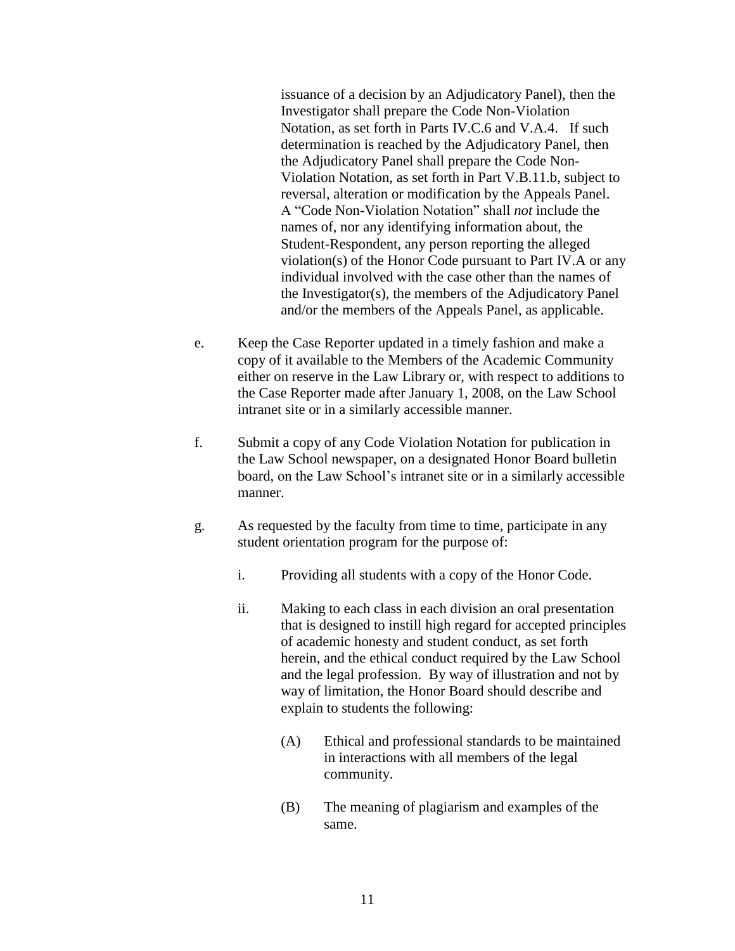issuance of a decision by an Adjudicatory Panel), then the Investigator shall prepare the Code Non-Violation Notation, as set forth in Parts IV.C.6 and V.A.4. If such determination is reached by the Adjudicatory Panel, then the Adjudicatory Panel shall prepare the Code Non-Violation Notation, as set forth in Part V.B.11.b, subject to reversal, alteration or modification by the Appeals Panel. A "Code Non-Violation Notation" shall *not* include the names of, nor any identifying information about, the Student-Respondent, any person reporting the alleged violation(s) of the Honor Code pursuant to Part IV.A or any individual involved with the case other than the names of the Investigator(s), the members of the Adjudicatory Panel and/or the members of the Appeals Panel, as applicable.

- e. Keep the Case Reporter updated in a timely fashion and make a copy of it available to the Members of the Academic Community either on reserve in the Law Library or, with respect to additions to the Case Reporter made after January 1, 2008, on the Law School intranet site or in a similarly accessible manner.
- f. Submit a copy of any Code Violation Notation for publication in the Law School newspaper, on a designated Honor Board bulletin board, on the Law School's intranet site or in a similarly accessible manner.
- g. As requested by the faculty from time to time, participate in any student orientation program for the purpose of:
	- i. Providing all students with a copy of the Honor Code.
	- ii. Making to each class in each division an oral presentation that is designed to instill high regard for accepted principles of academic honesty and student conduct, as set forth herein, and the ethical conduct required by the Law School and the legal profession. By way of illustration and not by way of limitation, the Honor Board should describe and explain to students the following:
		- (A) Ethical and professional standards to be maintained in interactions with all members of the legal community.
		- (B) The meaning of plagiarism and examples of the same.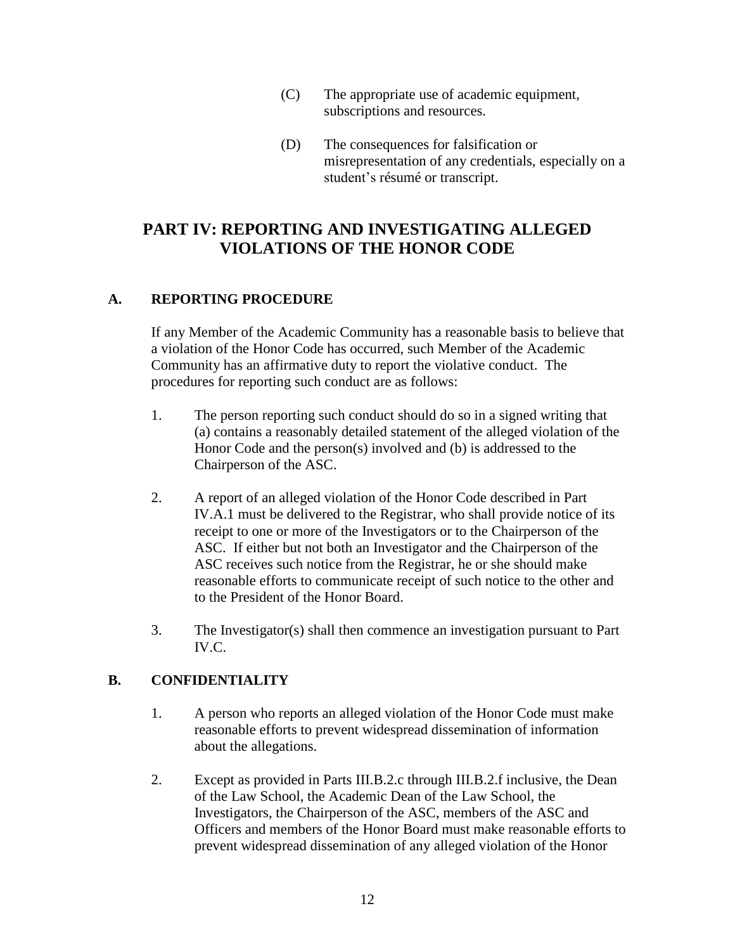- (C) The appropriate use of academic equipment, subscriptions and resources.
- (D) The consequences for falsification or misrepresentation of any credentials, especially on a student's résumé or transcript.

# **PART IV: REPORTING AND INVESTIGATING ALLEGED VIOLATIONS OF THE HONOR CODE**

### **A. REPORTING PROCEDURE**

If any Member of the Academic Community has a reasonable basis to believe that a violation of the Honor Code has occurred, such Member of the Academic Community has an affirmative duty to report the violative conduct. The procedures for reporting such conduct are as follows:

- 1. The person reporting such conduct should do so in a signed writing that (a) contains a reasonably detailed statement of the alleged violation of the Honor Code and the person(s) involved and (b) is addressed to the Chairperson of the ASC.
- 2. A report of an alleged violation of the Honor Code described in Part IV.A.1 must be delivered to the Registrar, who shall provide notice of its receipt to one or more of the Investigators or to the Chairperson of the ASC. If either but not both an Investigator and the Chairperson of the ASC receives such notice from the Registrar, he or she should make reasonable efforts to communicate receipt of such notice to the other and to the President of the Honor Board.
- 3. The Investigator(s) shall then commence an investigation pursuant to Part IV.C.

# **B. CONFIDENTIALITY**

- 1. A person who reports an alleged violation of the Honor Code must make reasonable efforts to prevent widespread dissemination of information about the allegations.
- 2. Except as provided in Parts III.B.2.c through III.B.2.f inclusive, the Dean of the Law School, the Academic Dean of the Law School, the Investigators, the Chairperson of the ASC, members of the ASC and Officers and members of the Honor Board must make reasonable efforts to prevent widespread dissemination of any alleged violation of the Honor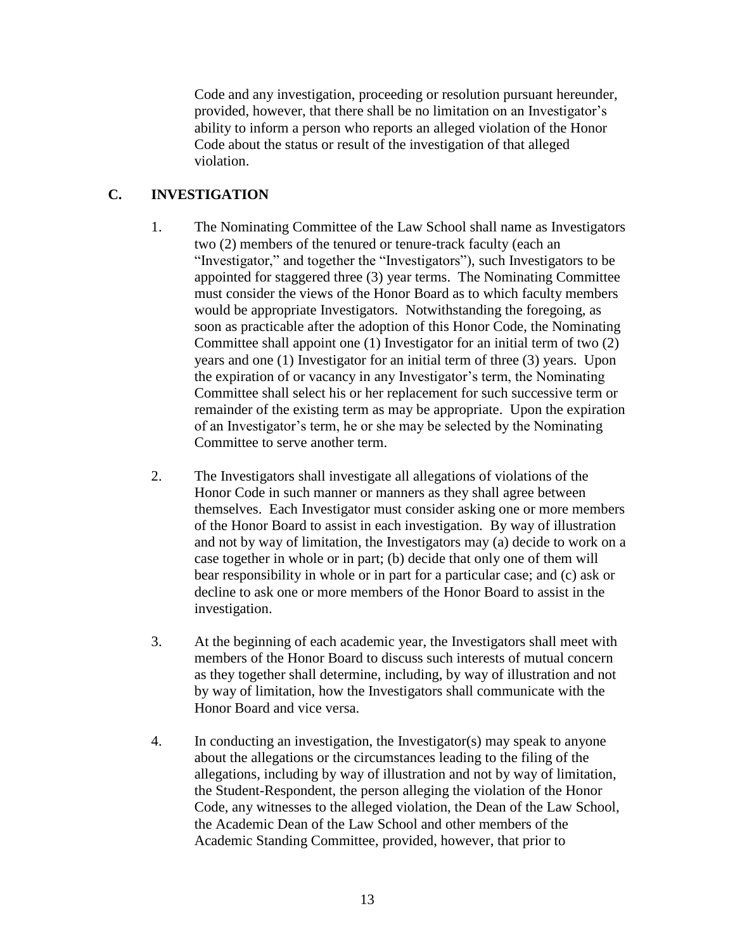Code and any investigation, proceeding or resolution pursuant hereunder, provided, however, that there shall be no limitation on an Investigator's ability to inform a person who reports an alleged violation of the Honor Code about the status or result of the investigation of that alleged violation.

### **C. INVESTIGATION**

- 1. The Nominating Committee of the Law School shall name as Investigators two (2) members of the tenured or tenure-track faculty (each an "Investigator," and together the "Investigators"), such Investigators to be appointed for staggered three (3) year terms. The Nominating Committee must consider the views of the Honor Board as to which faculty members would be appropriate Investigators. Notwithstanding the foregoing, as soon as practicable after the adoption of this Honor Code, the Nominating Committee shall appoint one (1) Investigator for an initial term of two (2) years and one (1) Investigator for an initial term of three (3) years. Upon the expiration of or vacancy in any Investigator's term, the Nominating Committee shall select his or her replacement for such successive term or remainder of the existing term as may be appropriate. Upon the expiration of an Investigator's term, he or she may be selected by the Nominating Committee to serve another term.
- 2. The Investigators shall investigate all allegations of violations of the Honor Code in such manner or manners as they shall agree between themselves. Each Investigator must consider asking one or more members of the Honor Board to assist in each investigation. By way of illustration and not by way of limitation, the Investigators may (a) decide to work on a case together in whole or in part; (b) decide that only one of them will bear responsibility in whole or in part for a particular case; and (c) ask or decline to ask one or more members of the Honor Board to assist in the investigation.
- 3. At the beginning of each academic year, the Investigators shall meet with members of the Honor Board to discuss such interests of mutual concern as they together shall determine, including, by way of illustration and not by way of limitation, how the Investigators shall communicate with the Honor Board and vice versa.
- 4. In conducting an investigation, the Investigator(s) may speak to anyone about the allegations or the circumstances leading to the filing of the allegations, including by way of illustration and not by way of limitation, the Student-Respondent, the person alleging the violation of the Honor Code, any witnesses to the alleged violation, the Dean of the Law School, the Academic Dean of the Law School and other members of the Academic Standing Committee, provided, however, that prior to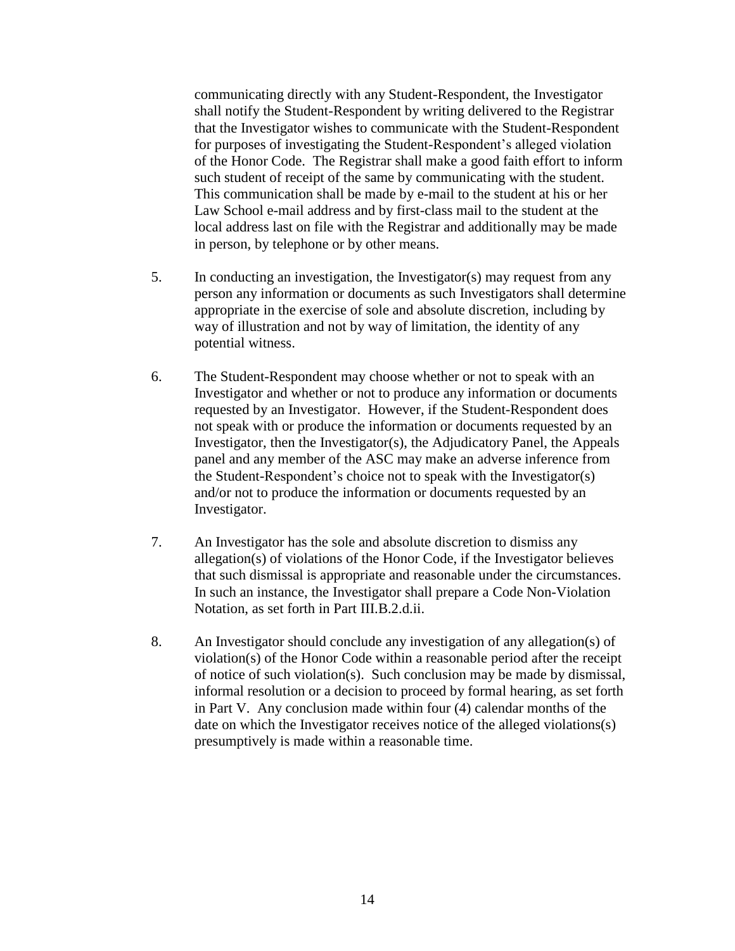communicating directly with any Student-Respondent, the Investigator shall notify the Student-Respondent by writing delivered to the Registrar that the Investigator wishes to communicate with the Student-Respondent for purposes of investigating the Student-Respondent's alleged violation of the Honor Code. The Registrar shall make a good faith effort to inform such student of receipt of the same by communicating with the student. This communication shall be made by e-mail to the student at his or her Law School e-mail address and by first-class mail to the student at the local address last on file with the Registrar and additionally may be made in person, by telephone or by other means.

- 5. In conducting an investigation, the Investigator(s) may request from any person any information or documents as such Investigators shall determine appropriate in the exercise of sole and absolute discretion, including by way of illustration and not by way of limitation, the identity of any potential witness.
- 6. The Student-Respondent may choose whether or not to speak with an Investigator and whether or not to produce any information or documents requested by an Investigator. However, if the Student-Respondent does not speak with or produce the information or documents requested by an Investigator, then the Investigator(s), the Adjudicatory Panel, the Appeals panel and any member of the ASC may make an adverse inference from the Student-Respondent's choice not to speak with the Investigator(s) and/or not to produce the information or documents requested by an Investigator.
- 7. An Investigator has the sole and absolute discretion to dismiss any allegation(s) of violations of the Honor Code, if the Investigator believes that such dismissal is appropriate and reasonable under the circumstances. In such an instance, the Investigator shall prepare a Code Non-Violation Notation, as set forth in Part III.B.2.d.ii.
- 8. An Investigator should conclude any investigation of any allegation(s) of violation(s) of the Honor Code within a reasonable period after the receipt of notice of such violation(s). Such conclusion may be made by dismissal, informal resolution or a decision to proceed by formal hearing, as set forth in Part V. Any conclusion made within four (4) calendar months of the date on which the Investigator receives notice of the alleged violations(s) presumptively is made within a reasonable time.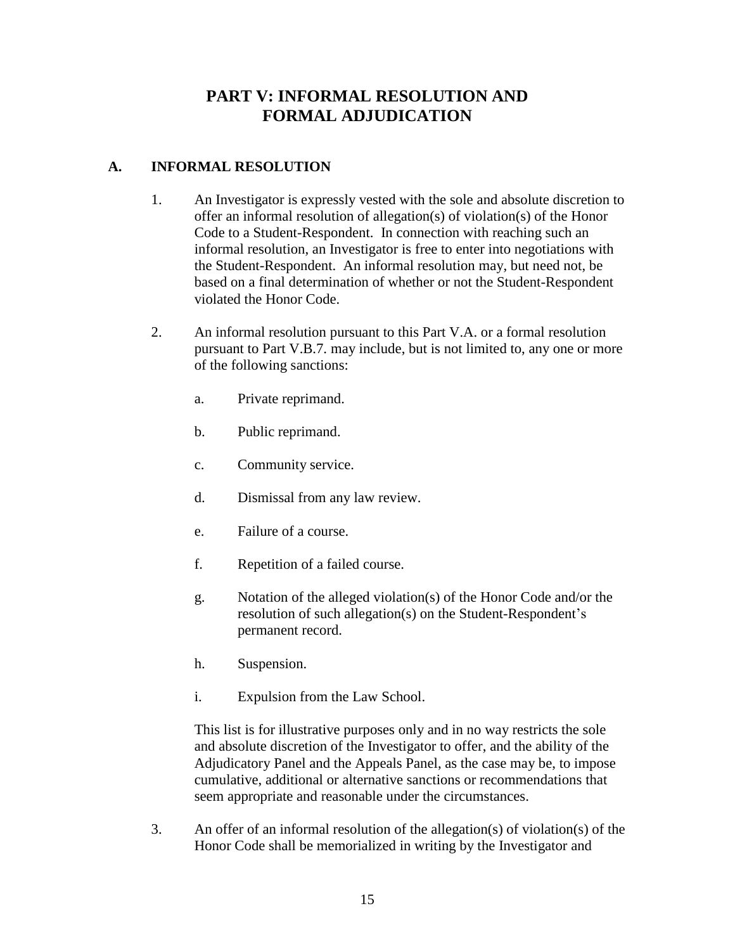# **PART V: INFORMAL RESOLUTION AND FORMAL ADJUDICATION**

### **A. INFORMAL RESOLUTION**

- 1. An Investigator is expressly vested with the sole and absolute discretion to offer an informal resolution of allegation(s) of violation(s) of the Honor Code to a Student-Respondent. In connection with reaching such an informal resolution, an Investigator is free to enter into negotiations with the Student-Respondent. An informal resolution may, but need not, be based on a final determination of whether or not the Student-Respondent violated the Honor Code.
- 2. An informal resolution pursuant to this Part V.A. or a formal resolution pursuant to Part V.B.7. may include, but is not limited to, any one or more of the following sanctions:
	- a. Private reprimand.
	- b. Public reprimand.
	- c. Community service.
	- d. Dismissal from any law review.
	- e. Failure of a course.
	- f. Repetition of a failed course.
	- g. Notation of the alleged violation(s) of the Honor Code and/or the resolution of such allegation(s) on the Student-Respondent's permanent record.
	- h. Suspension.
	- i. Expulsion from the Law School.

This list is for illustrative purposes only and in no way restricts the sole and absolute discretion of the Investigator to offer, and the ability of the Adjudicatory Panel and the Appeals Panel, as the case may be, to impose cumulative, additional or alternative sanctions or recommendations that seem appropriate and reasonable under the circumstances.

3. An offer of an informal resolution of the allegation(s) of violation(s) of the Honor Code shall be memorialized in writing by the Investigator and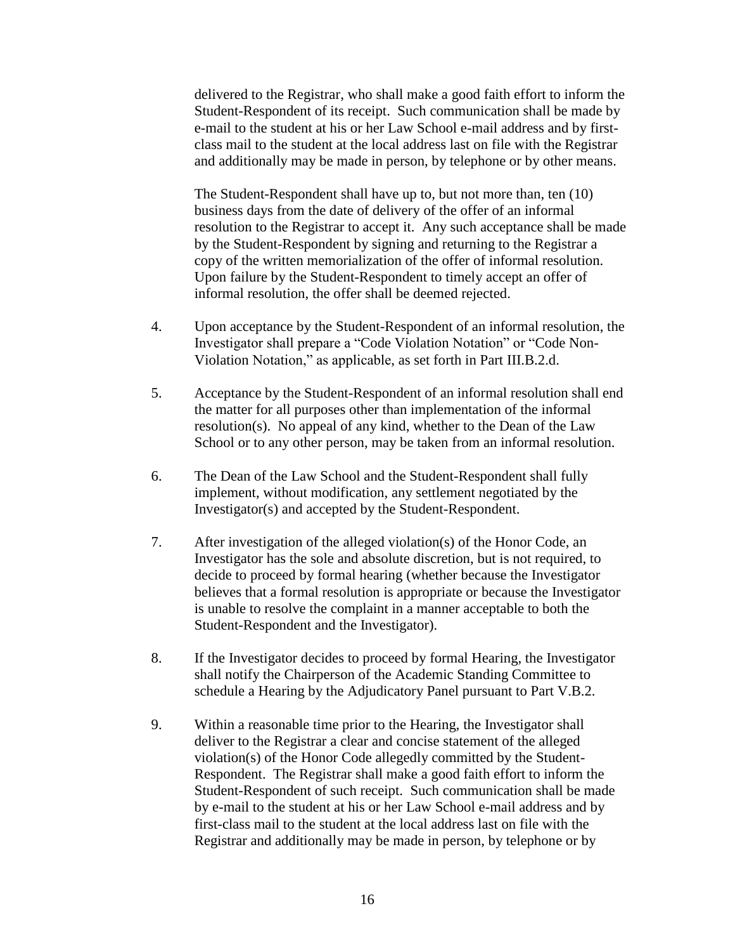delivered to the Registrar, who shall make a good faith effort to inform the Student-Respondent of its receipt. Such communication shall be made by e-mail to the student at his or her Law School e-mail address and by firstclass mail to the student at the local address last on file with the Registrar and additionally may be made in person, by telephone or by other means.

The Student-Respondent shall have up to, but not more than, ten (10) business days from the date of delivery of the offer of an informal resolution to the Registrar to accept it. Any such acceptance shall be made by the Student-Respondent by signing and returning to the Registrar a copy of the written memorialization of the offer of informal resolution. Upon failure by the Student-Respondent to timely accept an offer of informal resolution, the offer shall be deemed rejected.

- 4. Upon acceptance by the Student-Respondent of an informal resolution, the Investigator shall prepare a "Code Violation Notation" or "Code Non-Violation Notation," as applicable, as set forth in Part III.B.2.d.
- 5. Acceptance by the Student-Respondent of an informal resolution shall end the matter for all purposes other than implementation of the informal resolution(s). No appeal of any kind, whether to the Dean of the Law School or to any other person, may be taken from an informal resolution.
- 6. The Dean of the Law School and the Student-Respondent shall fully implement, without modification, any settlement negotiated by the Investigator(s) and accepted by the Student-Respondent.
- 7. After investigation of the alleged violation(s) of the Honor Code, an Investigator has the sole and absolute discretion, but is not required, to decide to proceed by formal hearing (whether because the Investigator believes that a formal resolution is appropriate or because the Investigator is unable to resolve the complaint in a manner acceptable to both the Student-Respondent and the Investigator).
- 8. If the Investigator decides to proceed by formal Hearing, the Investigator shall notify the Chairperson of the Academic Standing Committee to schedule a Hearing by the Adjudicatory Panel pursuant to Part V.B.2.
- 9. Within a reasonable time prior to the Hearing, the Investigator shall deliver to the Registrar a clear and concise statement of the alleged violation(s) of the Honor Code allegedly committed by the Student-Respondent. The Registrar shall make a good faith effort to inform the Student-Respondent of such receipt. Such communication shall be made by e-mail to the student at his or her Law School e-mail address and by first-class mail to the student at the local address last on file with the Registrar and additionally may be made in person, by telephone or by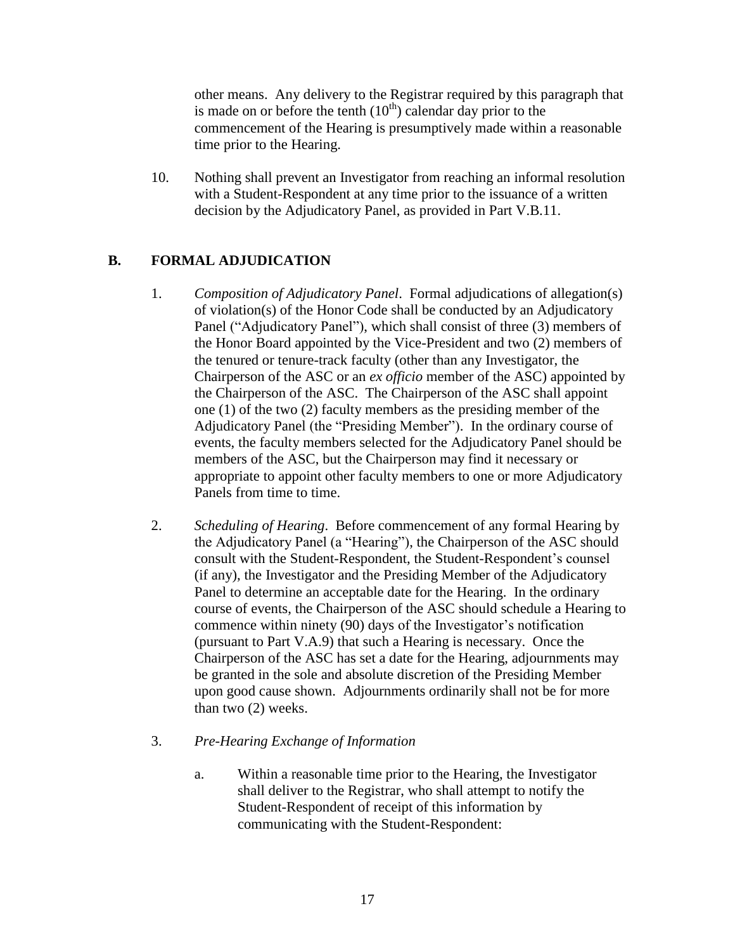other means. Any delivery to the Registrar required by this paragraph that is made on or before the tenth  $(10<sup>th</sup>)$  calendar day prior to the commencement of the Hearing is presumptively made within a reasonable time prior to the Hearing.

10. Nothing shall prevent an Investigator from reaching an informal resolution with a Student-Respondent at any time prior to the issuance of a written decision by the Adjudicatory Panel, as provided in Part V.B.11.

# **B. FORMAL ADJUDICATION**

- 1. *Composition of Adjudicatory Panel*. Formal adjudications of allegation(s) of violation(s) of the Honor Code shall be conducted by an Adjudicatory Panel ("Adjudicatory Panel"), which shall consist of three (3) members of the Honor Board appointed by the Vice-President and two (2) members of the tenured or tenure-track faculty (other than any Investigator, the Chairperson of the ASC or an *ex officio* member of the ASC) appointed by the Chairperson of the ASC. The Chairperson of the ASC shall appoint one (1) of the two (2) faculty members as the presiding member of the Adjudicatory Panel (the "Presiding Member"). In the ordinary course of events, the faculty members selected for the Adjudicatory Panel should be members of the ASC, but the Chairperson may find it necessary or appropriate to appoint other faculty members to one or more Adjudicatory Panels from time to time.
- 2. *Scheduling of Hearing*. Before commencement of any formal Hearing by the Adjudicatory Panel (a "Hearing"), the Chairperson of the ASC should consult with the Student-Respondent, the Student-Respondent's counsel (if any), the Investigator and the Presiding Member of the Adjudicatory Panel to determine an acceptable date for the Hearing. In the ordinary course of events, the Chairperson of the ASC should schedule a Hearing to commence within ninety (90) days of the Investigator's notification (pursuant to Part V.A.9) that such a Hearing is necessary. Once the Chairperson of the ASC has set a date for the Hearing, adjournments may be granted in the sole and absolute discretion of the Presiding Member upon good cause shown. Adjournments ordinarily shall not be for more than two (2) weeks.
- 3. *Pre-Hearing Exchange of Information*
	- a. Within a reasonable time prior to the Hearing, the Investigator shall deliver to the Registrar, who shall attempt to notify the Student-Respondent of receipt of this information by communicating with the Student-Respondent: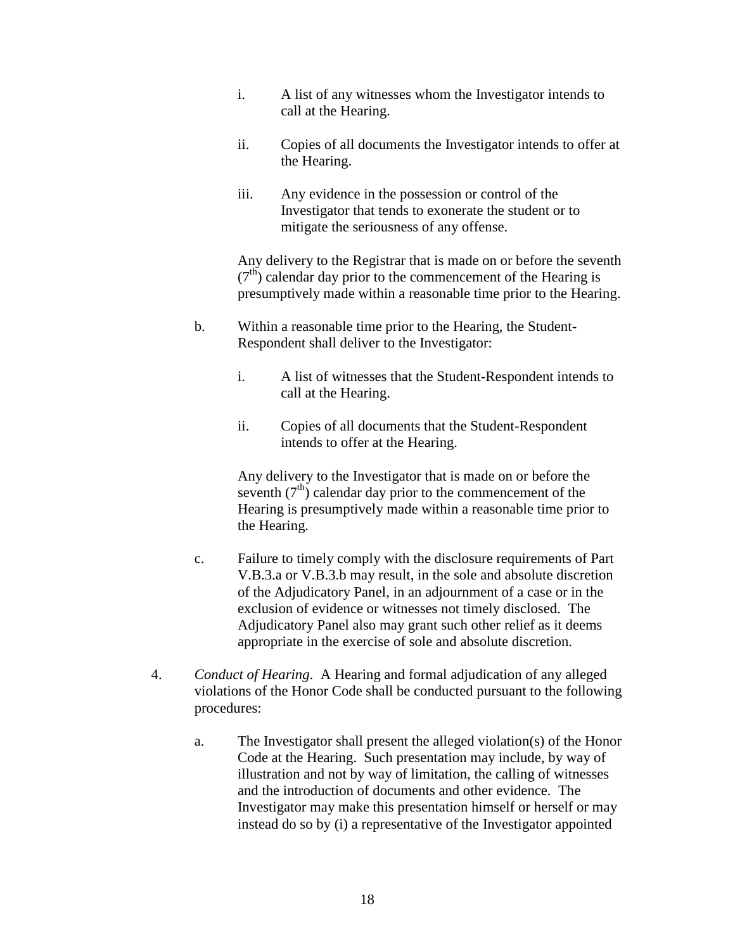- i. A list of any witnesses whom the Investigator intends to call at the Hearing.
- ii. Copies of all documents the Investigator intends to offer at the Hearing.
- iii. Any evidence in the possession or control of the Investigator that tends to exonerate the student or to mitigate the seriousness of any offense.

Any delivery to the Registrar that is made on or before the seventh  $(7<sup>th</sup>)$  calendar day prior to the commencement of the Hearing is presumptively made within a reasonable time prior to the Hearing.

- b. Within a reasonable time prior to the Hearing, the Student-Respondent shall deliver to the Investigator:
	- i. A list of witnesses that the Student-Respondent intends to call at the Hearing.
	- ii. Copies of all documents that the Student-Respondent intends to offer at the Hearing.

Any delivery to the Investigator that is made on or before the seventh  $(7<sup>th</sup>)$  calendar day prior to the commencement of the Hearing is presumptively made within a reasonable time prior to the Hearing.

- c. Failure to timely comply with the disclosure requirements of Part V.B.3.a or V.B.3.b may result, in the sole and absolute discretion of the Adjudicatory Panel, in an adjournment of a case or in the exclusion of evidence or witnesses not timely disclosed. The Adjudicatory Panel also may grant such other relief as it deems appropriate in the exercise of sole and absolute discretion.
- 4. *Conduct of Hearing*. A Hearing and formal adjudication of any alleged violations of the Honor Code shall be conducted pursuant to the following procedures:
	- a. The Investigator shall present the alleged violation(s) of the Honor Code at the Hearing. Such presentation may include, by way of illustration and not by way of limitation, the calling of witnesses and the introduction of documents and other evidence. The Investigator may make this presentation himself or herself or may instead do so by (i) a representative of the Investigator appointed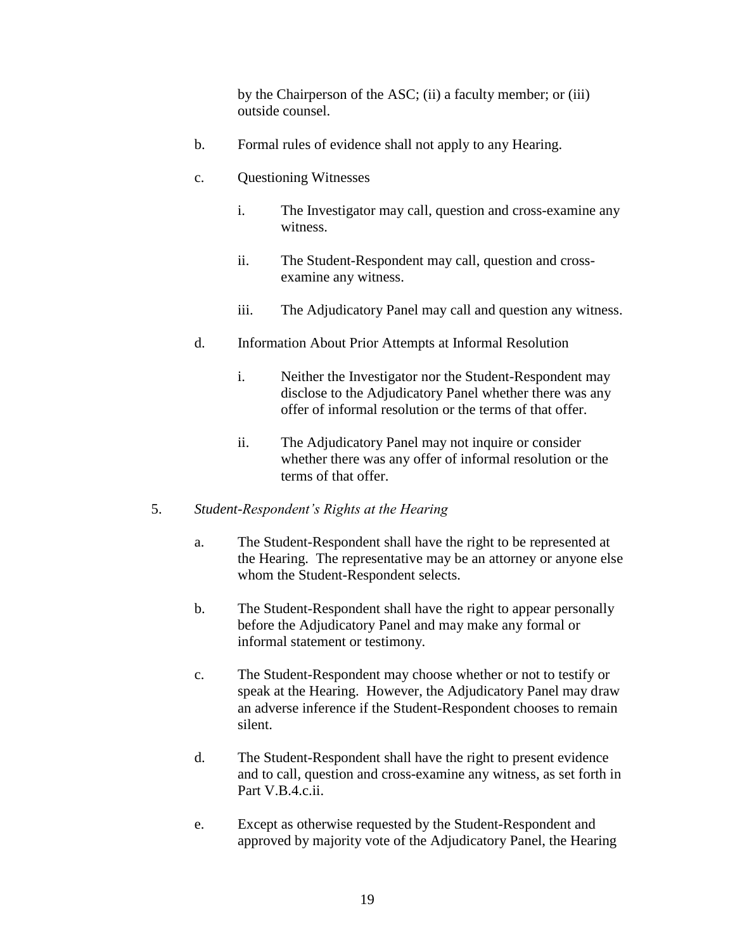by the Chairperson of the ASC; (ii) a faculty member; or (iii) outside counsel.

- b. Formal rules of evidence shall not apply to any Hearing.
- c. Questioning Witnesses
	- i. The Investigator may call, question and cross-examine any witness.
	- ii. The Student-Respondent may call, question and crossexamine any witness.
	- iii. The Adjudicatory Panel may call and question any witness.
- d. Information About Prior Attempts at Informal Resolution
	- i. Neither the Investigator nor the Student-Respondent may disclose to the Adjudicatory Panel whether there was any offer of informal resolution or the terms of that offer.
	- ii. The Adjudicatory Panel may not inquire or consider whether there was any offer of informal resolution or the terms of that offer.
- 5. *Student-Respondent's Rights at the Hearing*
	- a. The Student-Respondent shall have the right to be represented at the Hearing. The representative may be an attorney or anyone else whom the Student-Respondent selects.
	- b. The Student-Respondent shall have the right to appear personally before the Adjudicatory Panel and may make any formal or informal statement or testimony.
	- c. The Student-Respondent may choose whether or not to testify or speak at the Hearing. However, the Adjudicatory Panel may draw an adverse inference if the Student-Respondent chooses to remain silent.
	- d. The Student-Respondent shall have the right to present evidence and to call, question and cross-examine any witness, as set forth in Part V.B.4.c.ii.
	- e. Except as otherwise requested by the Student-Respondent and approved by majority vote of the Adjudicatory Panel, the Hearing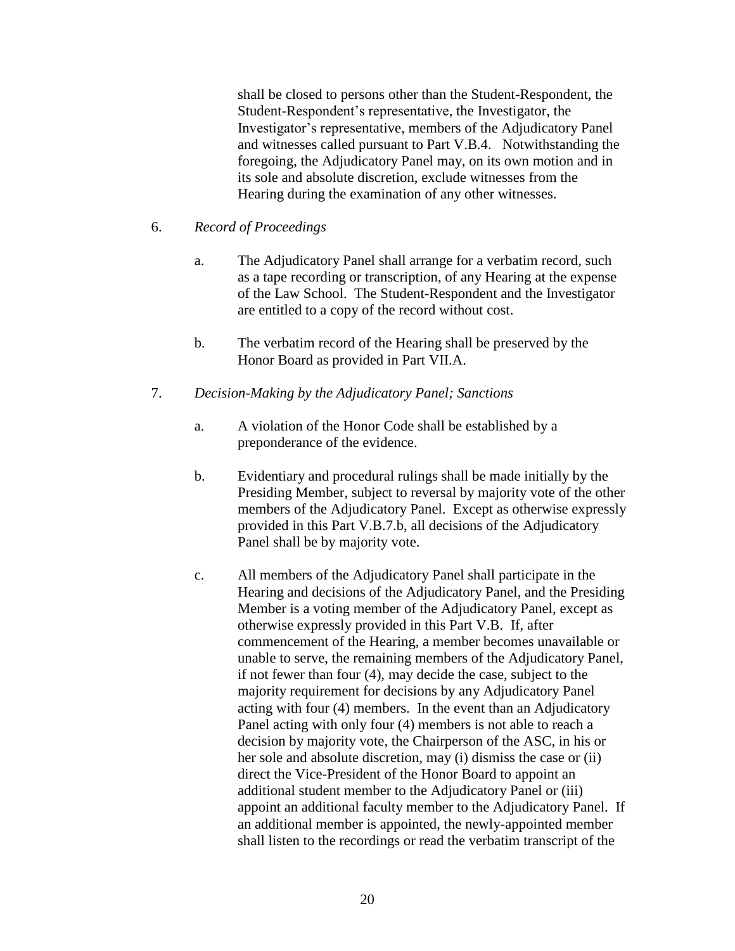shall be closed to persons other than the Student-Respondent, the Student-Respondent's representative, the Investigator, the Investigator's representative, members of the Adjudicatory Panel and witnesses called pursuant to Part V.B.4. Notwithstanding the foregoing, the Adjudicatory Panel may, on its own motion and in its sole and absolute discretion, exclude witnesses from the Hearing during the examination of any other witnesses.

### 6. *Record of Proceedings*

- a. The Adjudicatory Panel shall arrange for a verbatim record, such as a tape recording or transcription, of any Hearing at the expense of the Law School. The Student-Respondent and the Investigator are entitled to a copy of the record without cost.
- b. The verbatim record of the Hearing shall be preserved by the Honor Board as provided in Part VII.A.

#### 7. *Decision-Making by the Adjudicatory Panel; Sanctions*

- a. A violation of the Honor Code shall be established by a preponderance of the evidence.
- b. Evidentiary and procedural rulings shall be made initially by the Presiding Member, subject to reversal by majority vote of the other members of the Adjudicatory Panel. Except as otherwise expressly provided in this Part V.B.7.b, all decisions of the Adjudicatory Panel shall be by majority vote.
- c. All members of the Adjudicatory Panel shall participate in the Hearing and decisions of the Adjudicatory Panel, and the Presiding Member is a voting member of the Adjudicatory Panel, except as otherwise expressly provided in this Part V.B. If, after commencement of the Hearing, a member becomes unavailable or unable to serve, the remaining members of the Adjudicatory Panel, if not fewer than four (4), may decide the case, subject to the majority requirement for decisions by any Adjudicatory Panel acting with four (4) members. In the event than an Adjudicatory Panel acting with only four (4) members is not able to reach a decision by majority vote, the Chairperson of the ASC, in his or her sole and absolute discretion, may (i) dismiss the case or (ii) direct the Vice-President of the Honor Board to appoint an additional student member to the Adjudicatory Panel or (iii) appoint an additional faculty member to the Adjudicatory Panel. If an additional member is appointed, the newly-appointed member shall listen to the recordings or read the verbatim transcript of the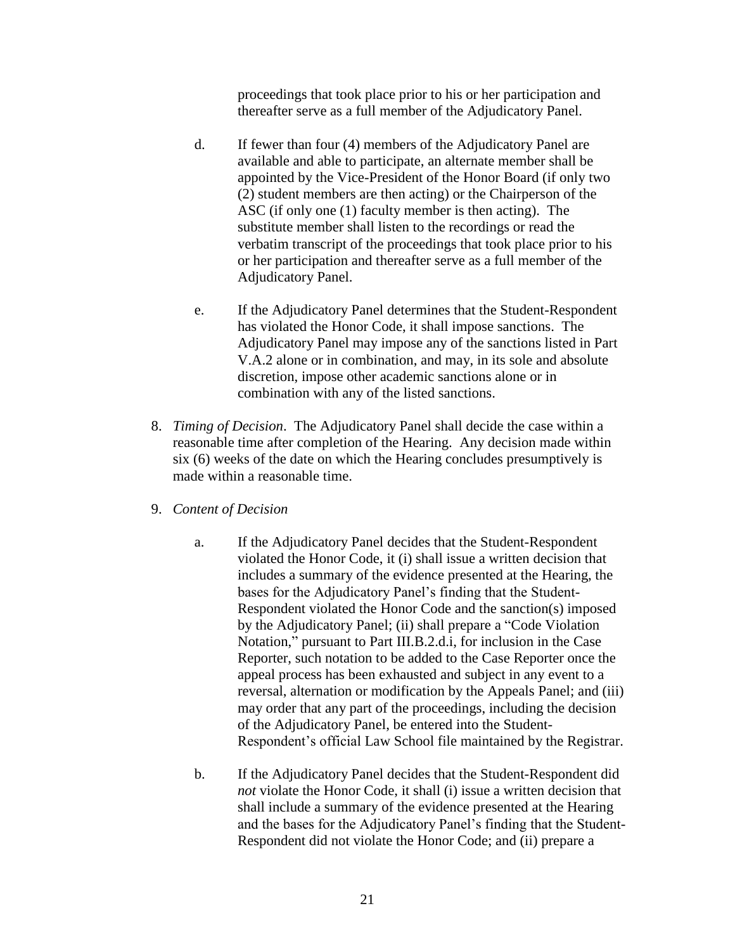proceedings that took place prior to his or her participation and thereafter serve as a full member of the Adjudicatory Panel.

- d. If fewer than four (4) members of the Adjudicatory Panel are available and able to participate, an alternate member shall be appointed by the Vice-President of the Honor Board (if only two (2) student members are then acting) or the Chairperson of the ASC (if only one (1) faculty member is then acting). The substitute member shall listen to the recordings or read the verbatim transcript of the proceedings that took place prior to his or her participation and thereafter serve as a full member of the Adjudicatory Panel.
- e. If the Adjudicatory Panel determines that the Student-Respondent has violated the Honor Code, it shall impose sanctions. The Adjudicatory Panel may impose any of the sanctions listed in Part V.A.2 alone or in combination, and may, in its sole and absolute discretion, impose other academic sanctions alone or in combination with any of the listed sanctions.
- 8. *Timing of Decision*. The Adjudicatory Panel shall decide the case within a reasonable time after completion of the Hearing. Any decision made within six (6) weeks of the date on which the Hearing concludes presumptively is made within a reasonable time.
- 9. *Content of Decision*
	- a. If the Adjudicatory Panel decides that the Student-Respondent violated the Honor Code, it (i) shall issue a written decision that includes a summary of the evidence presented at the Hearing, the bases for the Adjudicatory Panel's finding that the Student-Respondent violated the Honor Code and the sanction(s) imposed by the Adjudicatory Panel; (ii) shall prepare a "Code Violation Notation," pursuant to Part III.B.2.d.i, for inclusion in the Case Reporter, such notation to be added to the Case Reporter once the appeal process has been exhausted and subject in any event to a reversal, alternation or modification by the Appeals Panel; and (iii) may order that any part of the proceedings, including the decision of the Adjudicatory Panel, be entered into the Student-Respondent's official Law School file maintained by the Registrar.
	- b. If the Adjudicatory Panel decides that the Student-Respondent did *not* violate the Honor Code, it shall (i) issue a written decision that shall include a summary of the evidence presented at the Hearing and the bases for the Adjudicatory Panel's finding that the Student-Respondent did not violate the Honor Code; and (ii) prepare a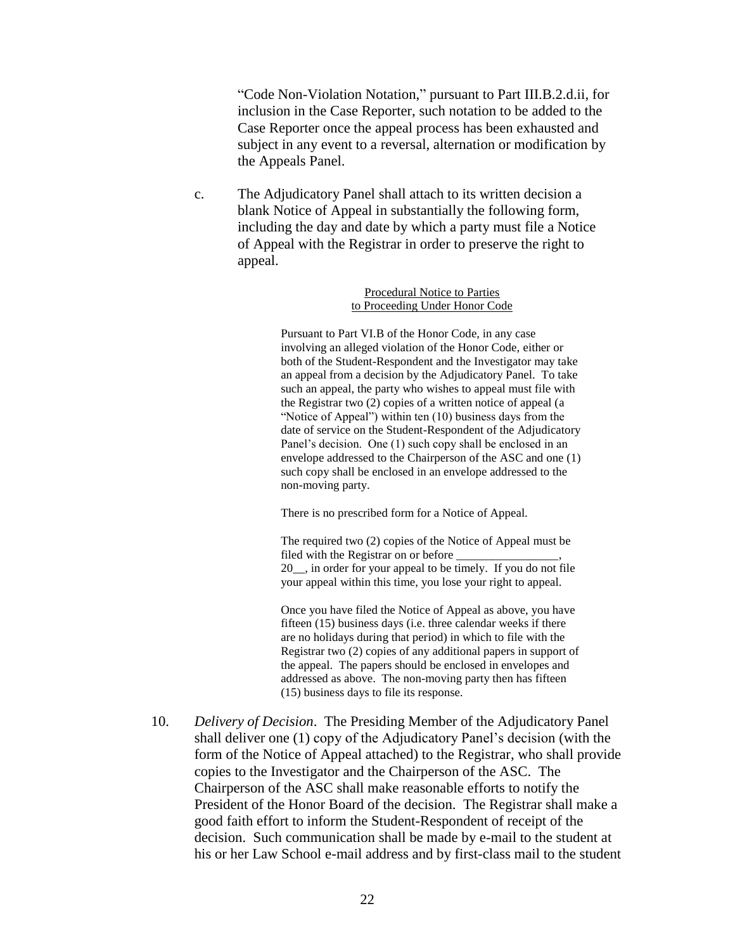"Code Non-Violation Notation," pursuant to Part III.B.2.d.ii, for inclusion in the Case Reporter, such notation to be added to the Case Reporter once the appeal process has been exhausted and subject in any event to a reversal, alternation or modification by the Appeals Panel.

c. The Adjudicatory Panel shall attach to its written decision a blank Notice of Appeal in substantially the following form, including the day and date by which a party must file a Notice of Appeal with the Registrar in order to preserve the right to appeal.

> Procedural Notice to Parties to Proceeding Under Honor Code

Pursuant to Part VI.B of the Honor Code, in any case involving an alleged violation of the Honor Code, either or both of the Student-Respondent and the Investigator may take an appeal from a decision by the Adjudicatory Panel. To take such an appeal, the party who wishes to appeal must file with the Registrar two (2) copies of a written notice of appeal (a "Notice of Appeal") within ten (10) business days from the date of service on the Student-Respondent of the Adjudicatory Panel's decision. One (1) such copy shall be enclosed in an envelope addressed to the Chairperson of the ASC and one (1) such copy shall be enclosed in an envelope addressed to the non-moving party.

There is no prescribed form for a Notice of Appeal.

The required two (2) copies of the Notice of Appeal must be filed with the Registrar on or before 20\_\_, in order for your appeal to be timely. If you do not file your appeal within this time, you lose your right to appeal.

Once you have filed the Notice of Appeal as above, you have fifteen (15) business days (i.e. three calendar weeks if there are no holidays during that period) in which to file with the Registrar two (2) copies of any additional papers in support of the appeal. The papers should be enclosed in envelopes and addressed as above. The non-moving party then has fifteen (15) business days to file its response.

10. *Delivery of Decision*. The Presiding Member of the Adjudicatory Panel shall deliver one (1) copy of the Adjudicatory Panel's decision (with the form of the Notice of Appeal attached) to the Registrar, who shall provide copies to the Investigator and the Chairperson of the ASC. The Chairperson of the ASC shall make reasonable efforts to notify the President of the Honor Board of the decision. The Registrar shall make a good faith effort to inform the Student-Respondent of receipt of the decision. Such communication shall be made by e-mail to the student at his or her Law School e-mail address and by first-class mail to the student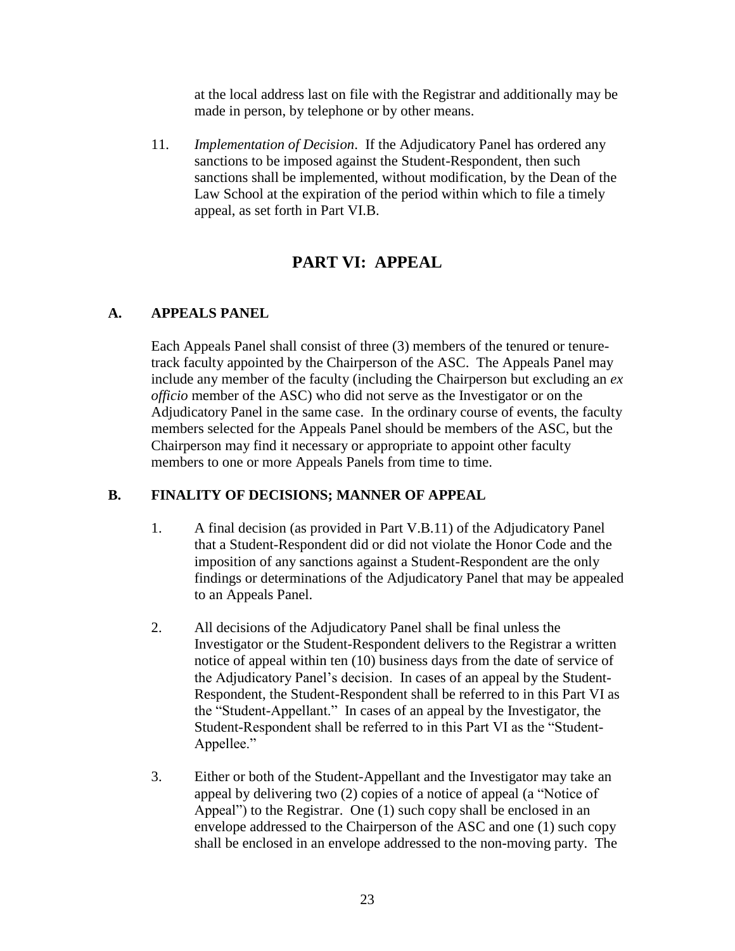at the local address last on file with the Registrar and additionally may be made in person, by telephone or by other means.

11. *Implementation of Decision*. If the Adjudicatory Panel has ordered any sanctions to be imposed against the Student-Respondent, then such sanctions shall be implemented, without modification, by the Dean of the Law School at the expiration of the period within which to file a timely appeal, as set forth in Part VI.B.

# **PART VI: APPEAL**

### **A. APPEALS PANEL**

Each Appeals Panel shall consist of three (3) members of the tenured or tenuretrack faculty appointed by the Chairperson of the ASC. The Appeals Panel may include any member of the faculty (including the Chairperson but excluding an *ex officio* member of the ASC) who did not serve as the Investigator or on the Adjudicatory Panel in the same case. In the ordinary course of events, the faculty members selected for the Appeals Panel should be members of the ASC, but the Chairperson may find it necessary or appropriate to appoint other faculty members to one or more Appeals Panels from time to time.

### **B. FINALITY OF DECISIONS; MANNER OF APPEAL**

- 1. A final decision (as provided in Part V.B.11) of the Adjudicatory Panel that a Student-Respondent did or did not violate the Honor Code and the imposition of any sanctions against a Student-Respondent are the only findings or determinations of the Adjudicatory Panel that may be appealed to an Appeals Panel.
- 2. All decisions of the Adjudicatory Panel shall be final unless the Investigator or the Student-Respondent delivers to the Registrar a written notice of appeal within ten (10) business days from the date of service of the Adjudicatory Panel's decision. In cases of an appeal by the Student-Respondent, the Student-Respondent shall be referred to in this Part VI as the "Student-Appellant." In cases of an appeal by the Investigator, the Student-Respondent shall be referred to in this Part VI as the "Student-Appellee."
- 3. Either or both of the Student-Appellant and the Investigator may take an appeal by delivering two (2) copies of a notice of appeal (a "Notice of Appeal") to the Registrar. One (1) such copy shall be enclosed in an envelope addressed to the Chairperson of the ASC and one (1) such copy shall be enclosed in an envelope addressed to the non-moving party. The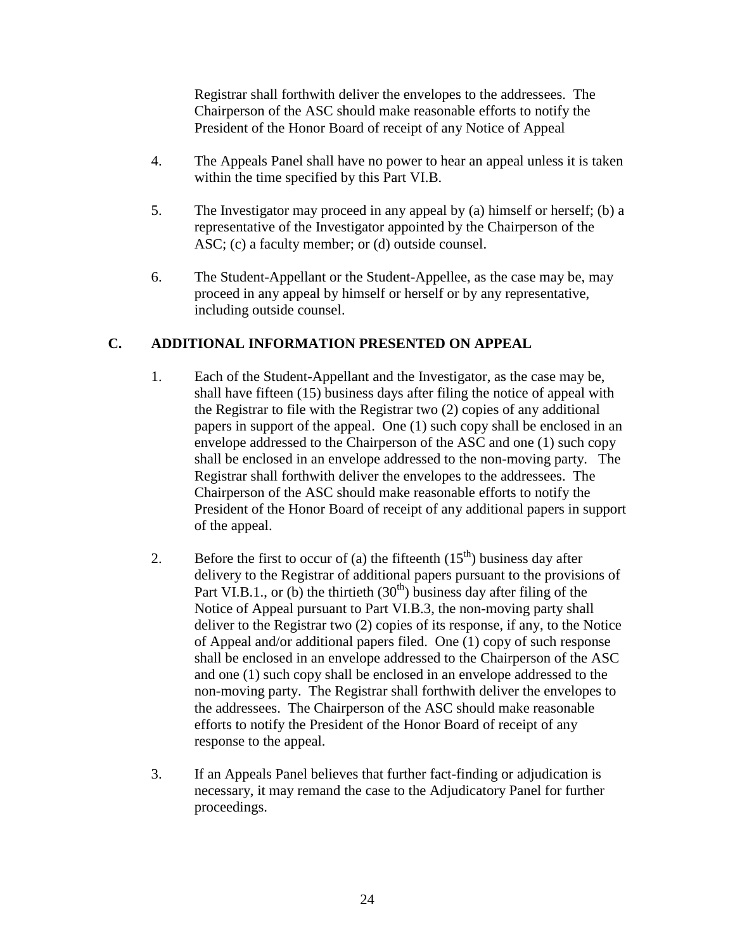Registrar shall forthwith deliver the envelopes to the addressees. The Chairperson of the ASC should make reasonable efforts to notify the President of the Honor Board of receipt of any Notice of Appeal

- 4. The Appeals Panel shall have no power to hear an appeal unless it is taken within the time specified by this Part VI.B.
- 5. The Investigator may proceed in any appeal by (a) himself or herself; (b) a representative of the Investigator appointed by the Chairperson of the ASC; (c) a faculty member; or (d) outside counsel.
- 6. The Student-Appellant or the Student-Appellee, as the case may be, may proceed in any appeal by himself or herself or by any representative, including outside counsel.

### **C. ADDITIONAL INFORMATION PRESENTED ON APPEAL**

- 1. Each of the Student-Appellant and the Investigator, as the case may be, shall have fifteen (15) business days after filing the notice of appeal with the Registrar to file with the Registrar two (2) copies of any additional papers in support of the appeal. One (1) such copy shall be enclosed in an envelope addressed to the Chairperson of the ASC and one (1) such copy shall be enclosed in an envelope addressed to the non-moving party. The Registrar shall forthwith deliver the envelopes to the addressees. The Chairperson of the ASC should make reasonable efforts to notify the President of the Honor Board of receipt of any additional papers in support of the appeal.
- 2. Before the first to occur of (a) the fifteenth  $(15<sup>th</sup>)$  business day after delivery to the Registrar of additional papers pursuant to the provisions of Part VI.B.1., or (b) the thirtieth  $(30<sup>th</sup>)$  business day after filing of the Notice of Appeal pursuant to Part VI.B.3, the non-moving party shall deliver to the Registrar two (2) copies of its response, if any, to the Notice of Appeal and/or additional papers filed. One (1) copy of such response shall be enclosed in an envelope addressed to the Chairperson of the ASC and one (1) such copy shall be enclosed in an envelope addressed to the non-moving party. The Registrar shall forthwith deliver the envelopes to the addressees. The Chairperson of the ASC should make reasonable efforts to notify the President of the Honor Board of receipt of any response to the appeal.
- 3. If an Appeals Panel believes that further fact-finding or adjudication is necessary, it may remand the case to the Adjudicatory Panel for further proceedings.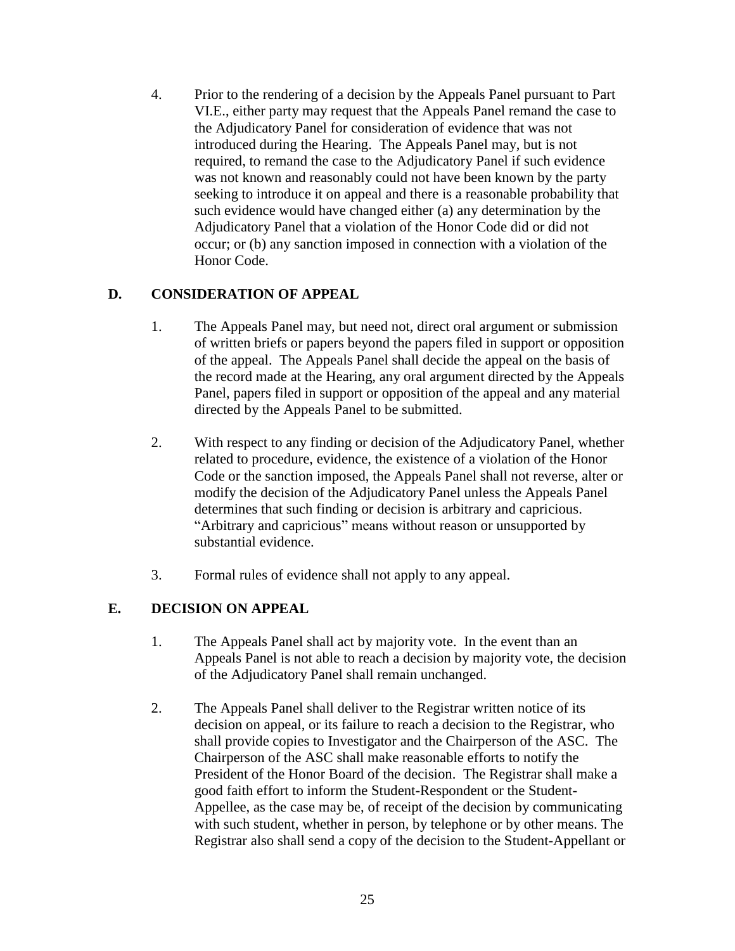4. Prior to the rendering of a decision by the Appeals Panel pursuant to Part VI.E., either party may request that the Appeals Panel remand the case to the Adjudicatory Panel for consideration of evidence that was not introduced during the Hearing. The Appeals Panel may, but is not required, to remand the case to the Adjudicatory Panel if such evidence was not known and reasonably could not have been known by the party seeking to introduce it on appeal and there is a reasonable probability that such evidence would have changed either (a) any determination by the Adjudicatory Panel that a violation of the Honor Code did or did not occur; or (b) any sanction imposed in connection with a violation of the Honor Code.

### **D. CONSIDERATION OF APPEAL**

- 1. The Appeals Panel may, but need not, direct oral argument or submission of written briefs or papers beyond the papers filed in support or opposition of the appeal. The Appeals Panel shall decide the appeal on the basis of the record made at the Hearing, any oral argument directed by the Appeals Panel, papers filed in support or opposition of the appeal and any material directed by the Appeals Panel to be submitted.
- 2. With respect to any finding or decision of the Adjudicatory Panel, whether related to procedure, evidence, the existence of a violation of the Honor Code or the sanction imposed, the Appeals Panel shall not reverse, alter or modify the decision of the Adjudicatory Panel unless the Appeals Panel determines that such finding or decision is arbitrary and capricious. "Arbitrary and capricious" means without reason or unsupported by substantial evidence.
- 3. Formal rules of evidence shall not apply to any appeal.

### **E. DECISION ON APPEAL**

- 1. The Appeals Panel shall act by majority vote. In the event than an Appeals Panel is not able to reach a decision by majority vote, the decision of the Adjudicatory Panel shall remain unchanged.
- 2. The Appeals Panel shall deliver to the Registrar written notice of its decision on appeal, or its failure to reach a decision to the Registrar, who shall provide copies to Investigator and the Chairperson of the ASC. The Chairperson of the ASC shall make reasonable efforts to notify the President of the Honor Board of the decision. The Registrar shall make a good faith effort to inform the Student-Respondent or the Student-Appellee, as the case may be, of receipt of the decision by communicating with such student, whether in person, by telephone or by other means. The Registrar also shall send a copy of the decision to the Student-Appellant or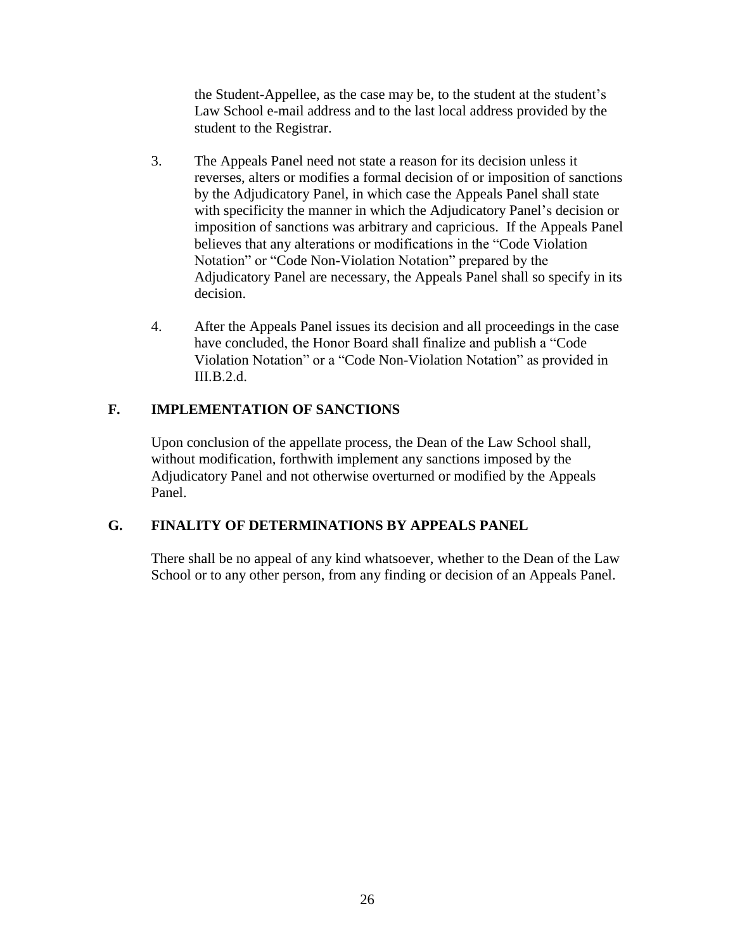the Student-Appellee, as the case may be, to the student at the student's Law School e-mail address and to the last local address provided by the student to the Registrar.

- 3. The Appeals Panel need not state a reason for its decision unless it reverses, alters or modifies a formal decision of or imposition of sanctions by the Adjudicatory Panel, in which case the Appeals Panel shall state with specificity the manner in which the Adjudicatory Panel's decision or imposition of sanctions was arbitrary and capricious. If the Appeals Panel believes that any alterations or modifications in the "Code Violation Notation" or "Code Non-Violation Notation" prepared by the Adjudicatory Panel are necessary, the Appeals Panel shall so specify in its decision.
- 4. After the Appeals Panel issues its decision and all proceedings in the case have concluded, the Honor Board shall finalize and publish a "Code Violation Notation" or a "Code Non-Violation Notation" as provided in III.B.2.d.

# **F. IMPLEMENTATION OF SANCTIONS**

Upon conclusion of the appellate process, the Dean of the Law School shall, without modification, forthwith implement any sanctions imposed by the Adjudicatory Panel and not otherwise overturned or modified by the Appeals Panel.

### **G. FINALITY OF DETERMINATIONS BY APPEALS PANEL**

There shall be no appeal of any kind whatsoever, whether to the Dean of the Law School or to any other person, from any finding or decision of an Appeals Panel.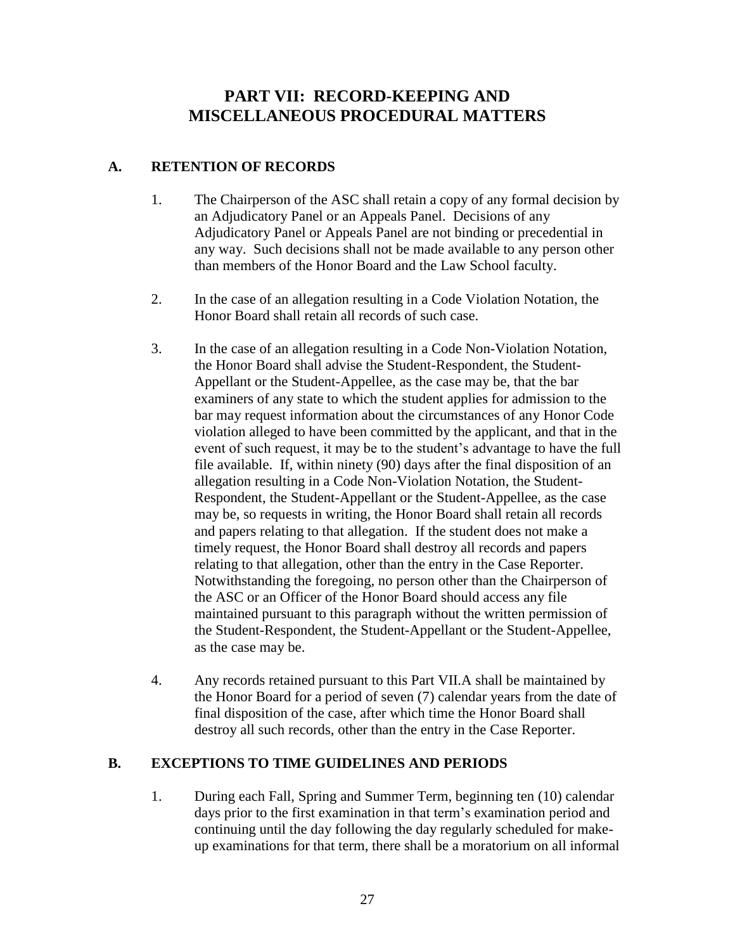# **PART VII: RECORD-KEEPING AND MISCELLANEOUS PROCEDURAL MATTERS**

#### **A. RETENTION OF RECORDS**

- 1. The Chairperson of the ASC shall retain a copy of any formal decision by an Adjudicatory Panel or an Appeals Panel. Decisions of any Adjudicatory Panel or Appeals Panel are not binding or precedential in any way. Such decisions shall not be made available to any person other than members of the Honor Board and the Law School faculty.
- 2. In the case of an allegation resulting in a Code Violation Notation, the Honor Board shall retain all records of such case.
- 3. In the case of an allegation resulting in a Code Non-Violation Notation, the Honor Board shall advise the Student-Respondent, the Student-Appellant or the Student-Appellee, as the case may be, that the bar examiners of any state to which the student applies for admission to the bar may request information about the circumstances of any Honor Code violation alleged to have been committed by the applicant, and that in the event of such request, it may be to the student's advantage to have the full file available. If, within ninety (90) days after the final disposition of an allegation resulting in a Code Non-Violation Notation, the Student-Respondent, the Student-Appellant or the Student-Appellee, as the case may be, so requests in writing, the Honor Board shall retain all records and papers relating to that allegation. If the student does not make a timely request, the Honor Board shall destroy all records and papers relating to that allegation, other than the entry in the Case Reporter. Notwithstanding the foregoing, no person other than the Chairperson of the ASC or an Officer of the Honor Board should access any file maintained pursuant to this paragraph without the written permission of the Student-Respondent, the Student-Appellant or the Student-Appellee, as the case may be.
- 4. Any records retained pursuant to this Part VII.A shall be maintained by the Honor Board for a period of seven (7) calendar years from the date of final disposition of the case, after which time the Honor Board shall destroy all such records, other than the entry in the Case Reporter.

### **B. EXCEPTIONS TO TIME GUIDELINES AND PERIODS**

1. During each Fall, Spring and Summer Term, beginning ten (10) calendar days prior to the first examination in that term's examination period and continuing until the day following the day regularly scheduled for makeup examinations for that term, there shall be a moratorium on all informal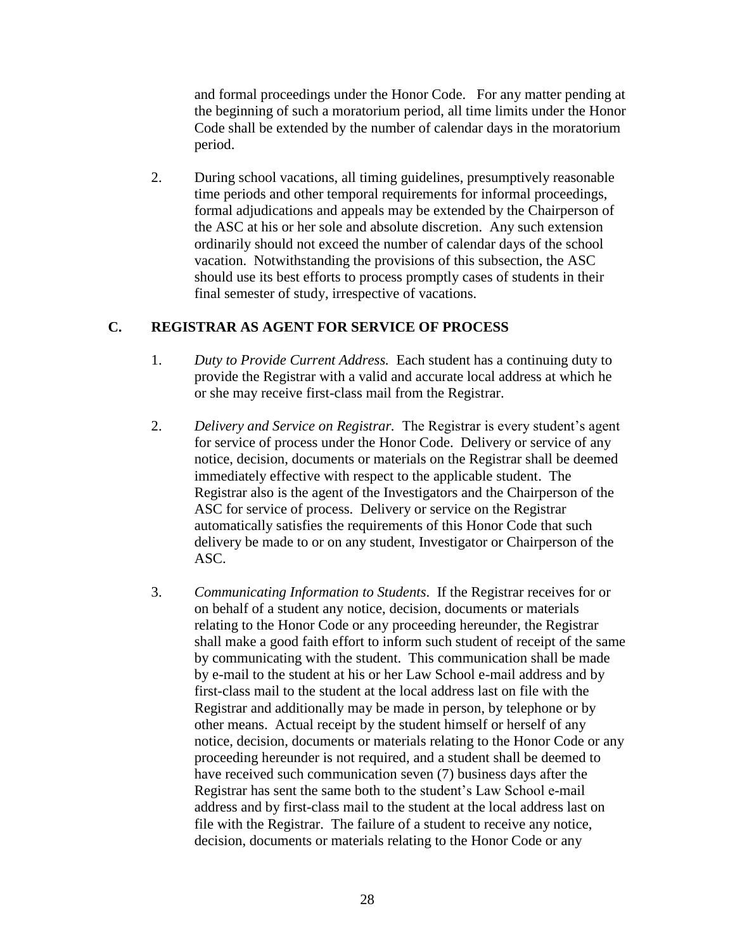and formal proceedings under the Honor Code. For any matter pending at the beginning of such a moratorium period, all time limits under the Honor Code shall be extended by the number of calendar days in the moratorium period.

2. During school vacations, all timing guidelines, presumptively reasonable time periods and other temporal requirements for informal proceedings, formal adjudications and appeals may be extended by the Chairperson of the ASC at his or her sole and absolute discretion. Any such extension ordinarily should not exceed the number of calendar days of the school vacation. Notwithstanding the provisions of this subsection, the ASC should use its best efforts to process promptly cases of students in their final semester of study, irrespective of vacations.

### **C. REGISTRAR AS AGENT FOR SERVICE OF PROCESS**

- 1. *Duty to Provide Current Address.* Each student has a continuing duty to provide the Registrar with a valid and accurate local address at which he or she may receive first-class mail from the Registrar.
- 2. *Delivery and Service on Registrar.* The Registrar is every student's agent for service of process under the Honor Code. Delivery or service of any notice, decision, documents or materials on the Registrar shall be deemed immediately effective with respect to the applicable student. The Registrar also is the agent of the Investigators and the Chairperson of the ASC for service of process. Delivery or service on the Registrar automatically satisfies the requirements of this Honor Code that such delivery be made to or on any student, Investigator or Chairperson of the ASC.
- 3. *Communicating Information to Students*. If the Registrar receives for or on behalf of a student any notice, decision, documents or materials relating to the Honor Code or any proceeding hereunder, the Registrar shall make a good faith effort to inform such student of receipt of the same by communicating with the student. This communication shall be made by e-mail to the student at his or her Law School e-mail address and by first-class mail to the student at the local address last on file with the Registrar and additionally may be made in person, by telephone or by other means. Actual receipt by the student himself or herself of any notice, decision, documents or materials relating to the Honor Code or any proceeding hereunder is not required, and a student shall be deemed to have received such communication seven (7) business days after the Registrar has sent the same both to the student's Law School e-mail address and by first-class mail to the student at the local address last on file with the Registrar. The failure of a student to receive any notice, decision, documents or materials relating to the Honor Code or any